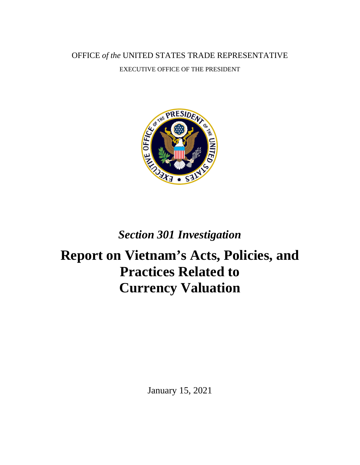OFFICE *of the* UNITED STATES TRADE REPRESENTATIVE EXECUTIVE OFFICE OF THE PRESIDENT



# *Section 301 Investigation*

# **Report on Vietnam's Acts, Policies, and Practices Related to Currency Valuation**

January 15, 2021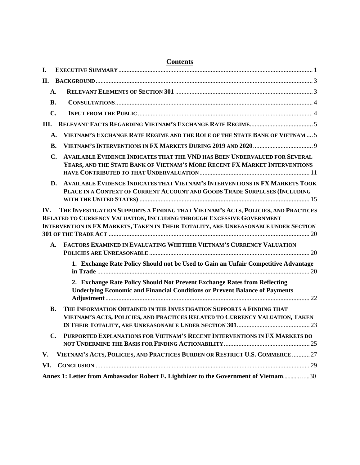| I.   |                                                                                                                                                                                                                                                   |
|------|---------------------------------------------------------------------------------------------------------------------------------------------------------------------------------------------------------------------------------------------------|
| П.   |                                                                                                                                                                                                                                                   |
|      | A.                                                                                                                                                                                                                                                |
|      | <b>B.</b>                                                                                                                                                                                                                                         |
|      | $\mathbf{C}$ .                                                                                                                                                                                                                                    |
| III. |                                                                                                                                                                                                                                                   |
|      | VIETNAM'S EXCHANGE RATE REGIME AND THE ROLE OF THE STATE BANK OF VIETNAM  5<br>А.                                                                                                                                                                 |
|      | <b>B.</b>                                                                                                                                                                                                                                         |
|      | <b>AVAILABLE EVIDENCE INDICATES THAT THE VND HAS BEEN UNDERVALUED FOR SEVERAL</b><br>C.<br>YEARS, AND THE STATE BANK OF VIETNAM'S MORE RECENT FX MARKET INTERVENTIONS                                                                             |
|      | AVAILABLE EVIDENCE INDICATES THAT VIETNAM'S INTERVENTIONS IN FX MARKETS TOOK<br>D.<br>PLACE IN A CONTEXT OF CURRENT ACCOUNT AND GOODS TRADE SURPLUSES (INCLUDING                                                                                  |
| IV.  | THE INVESTIGATION SUPPORTS A FINDING THAT VIETNAM'S ACTS, POLICIES, AND PRACTICES<br>RELATED TO CURRENCY VALUATION, INCLUDING THROUGH EXCESSIVE GOVERNMENT<br>INTERVENTION IN FX MARKETS, TAKEN IN THEIR TOTALITY, ARE UNREASONABLE UNDER SECTION |
|      | FACTORS EXAMINED IN EVALUATING WHETHER VIETNAM'S CURRENCY VALUATION<br>А.                                                                                                                                                                         |
|      | 1. Exchange Rate Policy Should not be Used to Gain an Unfair Competitive Advantage                                                                                                                                                                |
|      | 2. Exchange Rate Policy Should Not Prevent Exchange Rates from Reflecting<br><b>Underlying Economic and Financial Conditions or Prevent Balance of Payments</b>                                                                                   |
|      | THE INFORMATION OBTAINED IN THE INVESTIGATION SUPPORTS A FINDING THAT<br>В.<br>VIETNAM'S ACTS, POLICIES, AND PRACTICES RELATED TO CURRENCY VALUATION, TAKEN                                                                                       |
|      | PURPORTED EXPLANATIONS FOR VIETNAM'S RECENT INTERVENTIONS IN FX MARKETS DO<br>$\mathbf{C}$ .                                                                                                                                                      |
| V.   | VIETNAM'S ACTS, POLICIES, AND PRACTICES BURDEN OR RESTRICT U.S. COMMERCE  27                                                                                                                                                                      |
| VI.  |                                                                                                                                                                                                                                                   |
|      | Annex 1: Letter from Ambassador Robert E. Lighthizer to the Government of Vietnam30                                                                                                                                                               |

#### **Contents**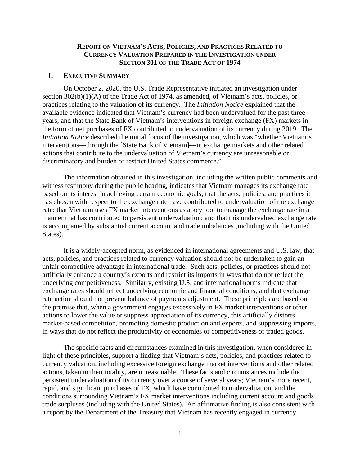#### **REPORT ON VIETNAM'S ACTS, POLICIES, AND PRACTICES RELATED TO CURRENCY VALUATION PREPARED IN THE INVESTIGATION UNDER SECTION 301 OF THE TRADE ACT OF 1974**

#### <span id="page-2-0"></span>**I. EXECUTIVE SUMMARY**

On October 2, 2020, the U.S. Trade Representative initiated an investigation under section 302(b)(1)(A) of the Trade Act of 1974, as amended, of Vietnam's acts, policies, or practices relating to the valuation of its currency. The *Initiation Notice* explained that the available evidence indicated that Vietnam's currency had been undervalued for the past three years, and that the State Bank of Vietnam's interventions in foreign exchange (FX) markets in the form of net purchases of FX contributed to undervaluation of its currency during 2019. The *Initiation Notice* described the initial focus of the investigation, which was "whether Vietnam's interventions—through the [State Bank of Vietnam]—in exchange markets and other related actions that contribute to the undervaluation of Vietnam's currency are unreasonable or discriminatory and burden or restrict United States commerce."

The information obtained in this investigation, including the written public comments and witness testimony during the public hearing, indicates that Vietnam manages its exchange rate based on its interest in achieving certain economic goals; that the acts, policies, and practices it has chosen with respect to the exchange rate have contributed to undervaluation of the exchange rate; that Vietnam uses FX market interventions as a key tool to manage the exchange rate in a manner that has contributed to persistent undervaluation; and that this undervalued exchange rate is accompanied by substantial current account and trade imbalances (including with the United States).

It is a widely-accepted norm, as evidenced in international agreements and U.S. law, that acts, policies, and practices related to currency valuation should not be undertaken to gain an unfair competitive advantage in international trade. Such acts, policies, or practices should not artificially enhance a country's exports and restrict its imports in ways that do not reflect the underlying competitiveness. Similarly, existing U.S. and international norms indicate that exchange rates should reflect underlying economic and financial conditions, and that exchange rate action should not prevent balance of payments adjustment. These principles are based on the premise that, when a government engages excessively in FX market interventions or other actions to lower the value or suppress appreciation of its currency, this artificially distorts market-based competition, promoting domestic production and exports, and suppressing imports, in ways that do not reflect the productivity of economies or competitiveness of traded goods.

The specific facts and circumstances examined in this investigation, when considered in light of these principles, support a finding that Vietnam's acts, policies, and practices related to currency valuation, including excessive foreign exchange market interventions and other related actions, taken in their totality, are unreasonable. These facts and circumstances include the persistent undervaluation of its currency over a course of several years; Vietnam's more recent, rapid, and significant purchases of FX, which have contributed to undervaluation; and the conditions surrounding Vietnam's FX market interventions including current account and goods trade surpluses (including with the United States). An affirmative finding is also consistent with a report by the Department of the Treasury that Vietnam has recently engaged in currency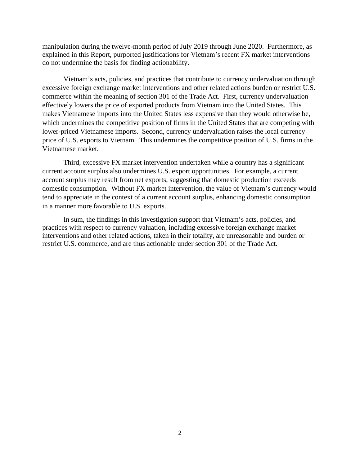manipulation during the twelve-month period of July 2019 through June 2020. Furthermore, as explained in this Report, purported justifications for Vietnam's recent FX market interventions do not undermine the basis for finding actionability.

Vietnam's acts, policies, and practices that contribute to currency undervaluation through excessive foreign exchange market interventions and other related actions burden or restrict U.S. commerce within the meaning of section 301 of the Trade Act. First, currency undervaluation effectively lowers the price of exported products from Vietnam into the United States. This makes Vietnamese imports into the United States less expensive than they would otherwise be, which undermines the competitive position of firms in the United States that are competing with lower-priced Vietnamese imports. Second, currency undervaluation raises the local currency price of U.S. exports to Vietnam. This undermines the competitive position of U.S. firms in the Vietnamese market.

Third, excessive FX market intervention undertaken while a country has a significant current account surplus also undermines U.S. export opportunities. For example, a current account surplus may result from net exports, suggesting that domestic production exceeds domestic consumption. Without FX market intervention, the value of Vietnam's currency would tend to appreciate in the context of a current account surplus, enhancing domestic consumption in a manner more favorable to U.S. exports.

In sum, the findings in this investigation support that Vietnam's acts, policies, and practices with respect to currency valuation, including excessive foreign exchange market interventions and other related actions, taken in their totality, are unreasonable and burden or restrict U.S. commerce, and are thus actionable under section 301 of the Trade Act.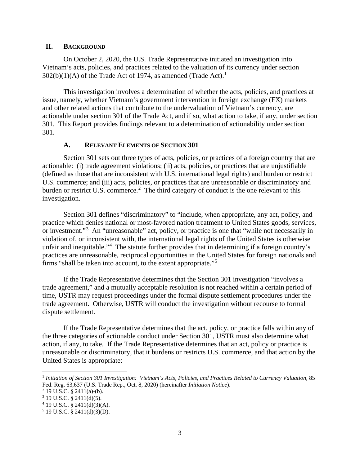#### <span id="page-4-0"></span>**II. BACKGROUND**

On October 2, 2020, the U.S. Trade Representative initiated an investigation into Vietnam's acts, policies, and practices related to the valuation of its currency under section  $302(b)(1)(A)$  $302(b)(1)(A)$  $302(b)(1)(A)$  of the Trade Act of 1974, as amended (Trade Act).<sup>1</sup>

This investigation involves a determination of whether the acts, policies, and practices at issue, namely, whether Vietnam's government intervention in foreign exchange (FX) markets and other related actions that contribute to the undervaluation of Vietnam's currency, are actionable under section 301 of the Trade Act, and if so, what action to take, if any, under section 301. This Report provides findings relevant to a determination of actionability under section 301.

#### **A. RELEVANT ELEMENTS OF SECTION 301**

<span id="page-4-1"></span>Section 301 sets out three types of acts, policies, or practices of a foreign country that are actionable: (i) trade agreement violations; (ii) acts, policies, or practices that are unjustifiable (defined as those that are inconsistent with U.S. international legal rights) and burden or restrict U.S. commerce; and (iii) acts, policies, or practices that are unreasonable or discriminatory and burden or restrict U.S. commerce.<sup>[2](#page-4-3)</sup> The third category of conduct is the one relevant to this investigation.

Section 301 defines "discriminatory" to "include, when appropriate, any act, policy, and practice which denies national or most-favored nation treatment to United States goods, services, or investment."<sup>[3](#page-4-4)</sup> An "unreasonable" act, policy, or practice is one that "while not necessarily in violation of, or inconsistent with, the international legal rights of the United States is otherwise unfair and inequitable."<sup>[4](#page-4-5)</sup> The statute further provides that in determining if a foreign country's practices are unreasonable, reciprocal opportunities in the United States for foreign nationals and firms "shall be taken into account, to the extent appropriate."[5](#page-4-6)

If the Trade Representative determines that the Section 301 investigation "involves a trade agreement," and a mutually acceptable resolution is not reached within a certain period of time, USTR may request proceedings under the formal dispute settlement procedures under the trade agreement. Otherwise, USTR will conduct the investigation without recourse to formal dispute settlement.

If the Trade Representative determines that the act, policy, or practice falls within any of the three categories of actionable conduct under Section 301, USTR must also determine what action, if any, to take. If the Trade Representative determines that an act, policy or practice is unreasonable or discriminatory, that it burdens or restricts U.S. commerce, and that action by the United States is appropriate:

<span id="page-4-2"></span><sup>1</sup> *Initiation of Section 301 Investigation: Vietnam's Acts, Policies, and Practices Related to Currency Valuation*, 85 Fed. Reg. 63,637 (U.S. Trade Rep., Oct. 8, 2020) (hereinafter *Initiation Notice*).

<span id="page-4-3"></span> $2$  19 U.S.C. § 2411(a)-(b).

<span id="page-4-4"></span><sup>3</sup> 19 U.S.C. § 2411(d)(5).

<span id="page-4-5"></span> $4$  19 U.S.C. § 2411(d)(3)(A).

<span id="page-4-6"></span> $5$  19 U.S.C. § 2411(d)(3)(D).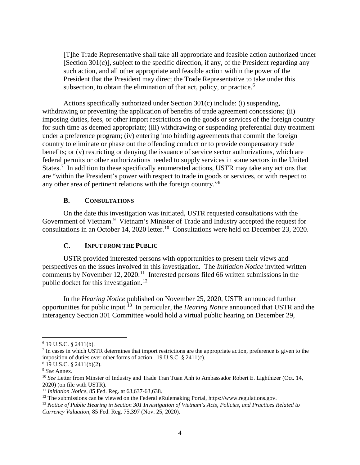[T]he Trade Representative shall take all appropriate and feasible action authorized under [Section 301(c)], subject to the specific direction, if any, of the President regarding any such action, and all other appropriate and feasible action within the power of the President that the President may direct the Trade Representative to take under this subsection, to obtain the elimination of that act, policy, or practice.<sup>[6](#page-5-2)</sup>

Actions specifically authorized under Section 301(c) include: (i) suspending, withdrawing or preventing the application of benefits of trade agreement concessions; (ii) imposing duties, fees, or other import restrictions on the goods or services of the foreign country for such time as deemed appropriate; (iii) withdrawing or suspending preferential duty treatment under a preference program; (iv) entering into binding agreements that commit the foreign country to eliminate or phase out the offending conduct or to provide compensatory trade benefits; or (v) restricting or denying the issuance of service sector authorizations, which are federal permits or other authorizations needed to supply services in some sectors in the United States.<sup>[7](#page-5-3)</sup> In addition to these specifically enumerated actions, USTR may take any actions that are "within the President's power with respect to trade in goods or services, or with respect to any other area of pertinent relations with the foreign country."[8](#page-5-4)

#### **B. CONSULTATIONS**

<span id="page-5-0"></span>On the date this investigation was initiated, USTR requested consultations with the Government of Vietnam.<sup>[9](#page-5-5)</sup> Vietnam's Minister of Trade and Industry accepted the request for consultations in an October 14, 2020 letter.<sup>10</sup> Consultations were held on December 23, 2020.

#### **C. INPUT FROM THE PUBLIC**

<span id="page-5-1"></span>USTR provided interested persons with opportunities to present their views and perspectives on the issues involved in this investigation. The *Initiation Notice* invited written comments by November 12, 2020.<sup>[11](#page-5-7)</sup> Interested persons filed 66 written submissions in the public docket for this investigation.<sup>12</sup>

In the *Hearing Notice* published on November 25, 2020, USTR announced further opportunities for public input.[13](#page-5-9) In particular, the *Hearing Notice* announced that USTR and the interagency Section 301 Committee would hold a virtual public hearing on December 29,

 $\overline{a}$ 

<span id="page-5-3"></span><span id="page-5-2"></span><sup>6</sup> 19 U.S.C. § 2411(b).

<span id="page-5-4"></span><sup>7</sup> In cases in which USTR determines that import restrictions are the appropriate action, preference is given to the imposition of duties over other forms of action. 19 U.S.C. § 2411(c).

<span id="page-5-5"></span><sup>8</sup> 19 U.S.C. § 2411(b)(2).

<span id="page-5-6"></span><sup>9</sup> *See* Annex.

<span id="page-5-7"></span><sup>10</sup> *See* Letter from Minster of Industry and Trade Tran Tuan Anh to Ambassador Robert E. Lighthizer (Oct. 14, 2020) (on file with USTR).

<span id="page-5-8"></span><sup>11</sup> *Initiation Notice*, 85 Fed. Reg. at 63,637-63,638.

<span id="page-5-9"></span><sup>&</sup>lt;sup>12</sup> The submissions can be viewed on the Federal eRulemaking Portal, https://www.regulations.gov.

<span id="page-5-10"></span><sup>13</sup> *Notice of Public Hearing in Section 301 Investigation of Vietnam's Acts, Policies, and Practices Related to Currency Valuation*, 85 Fed. Reg. 75,397 (Nov. 25, 2020).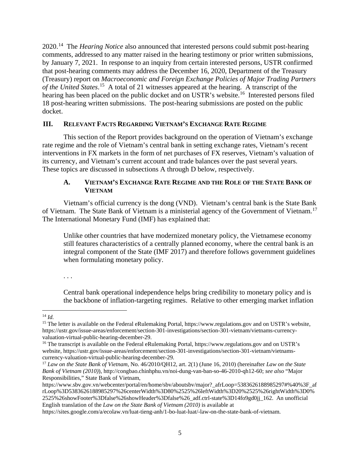2020.[14](#page-5-10) The *Hearing Notice* also announced that interested persons could submit post-hearing comments, addressed to any matter raised in the hearing testimony or prior written submissions, by January 7, 2021. In response to an inquiry from certain interested persons, USTR confirmed that post-hearing comments may address the December 16, 2020, Department of the Treasury (Treasury) report on *Macroeconomic and Foreign Exchange Policies of Major Trading Partners of the United States*. [15](#page-6-2) A total of 21 witnesses appeared at the hearing. A transcript of the hearing has been placed on the public docket and on USTR's website.<sup>[16](#page-6-3)</sup> Interested persons filed 18 post-hearing written submissions. The post-hearing submissions are posted on the public docket.

#### <span id="page-6-0"></span>**III. RELEVANT FACTS REGARDING VIETNAM'S EXCHANGE RATE REGIME**

This section of the Report provides background on the operation of Vietnam's exchange rate regime and the role of Vietnam's central bank in setting exchange rates, Vietnam's recent interventions in FX markets in the form of net purchases of FX reserves, Vietnam's valuation of its currency, and Vietnam's current account and trade balances over the past several years. These topics are discussed in subsections A through D below, respectively.

#### **A. VIETNAM'S EXCHANGE RATE REGIME AND THE ROLE OF THE STATE BANK OF VIETNAM**

<span id="page-6-1"></span>Vietnam's official currency is the dong (VND). Vietnam's central bank is the State Bank of Vietnam. The State Bank of Vietnam is a ministerial agency of the Government of Vietnam.[17](#page-6-4)  The International Monetary Fund (IMF) has explained that:

Unlike other countries that have modernized monetary policy, the Vietnamese economy still features characteristics of a centrally planned economy, where the central bank is an integral component of the State (IMF 2017) and therefore follows government guidelines when formulating monetary policy.

. . .

Central bank operational independence helps bring credibility to monetary policy and is the backbone of inflation-targeting regimes. Relative to other emerging market inflation

l

https://sites.google.com/a/ecolaw.vn/luat-tieng-anh/1-bo-luat-luat/-law-on-the-state-bank-of-vietnam.

<sup>14</sup> *Id.*

<span id="page-6-2"></span><sup>&</sup>lt;sup>15</sup> The letter is available on the Federal eRulemaking Portal, https://www.regulations.gov and on USTR's website, https://ustr.gov/issue-areas/enforcement/section-301-investigations/section-301-vietnam/vietnams-currencyvaluation-virtual-public-hearing-december-29.

<span id="page-6-3"></span><sup>&</sup>lt;sup>16</sup> The transcript is available on the Federal eRulemaking Portal, https://www.regulations.gov and on USTR's website, https://ustr.gov/issue-areas/enforcement/section-301-investigations/section-301-vietnam/vietnamscurrency-valuation-virtual-public-hearing-december-29.

<span id="page-6-4"></span><sup>17</sup> *Law on the State Bank of Vietnam*, No. 46/2010/QH12, art. 2(1) (June 16, 2010) (hereinafter *Law on the State Bank of Vietnam (2010)*), http://congbao.chinhphu.vn/noi-dung-van-ban-so-46-2010-qh12-60; *see also* "Major Responsibilities," State Bank of Vietnam,

https://www.sbv.gov.vn/webcenter/portal/en/home/sbv/aboutsbv/major?\_afrLoop=5383626188985297#%40%3F\_af rLoop%3D5383626188985297%26centerWidth%3D80%2525%26leftWidth%3D20%2525%26rightWidth%3D0% 2525%26showFooter%3Dfalse%26showHeader%3Dfalse%26\_adf.ctrl-state%3D14fo9gd0jj\_162. An unofficial English translation of the *Law on the State Bank of Vietnam (2010)* is available at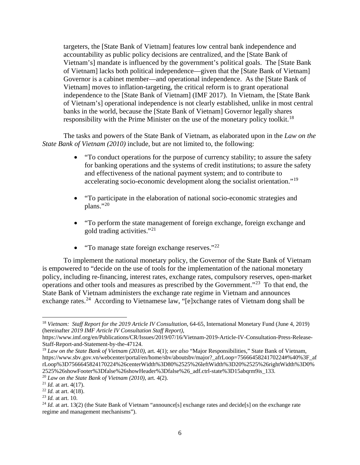targeters, the [State Bank of Vietnam] features low central bank independence and accountability as public policy decisions are centralized, and the [State Bank of Vietnam's] mandate is influenced by the government's political goals. The [State Bank of Vietnam] lacks both political independence—given that the [State Bank of Vietnam] Governor is a cabinet member—and operational independence. As the [State Bank of Vietnam] moves to inflation-targeting, the critical reform is to grant operational independence to the [State Bank of Vietnam] (IMF 2017). In Vietnam, the [State Bank of Vietnam's] operational independence is not clearly established, unlike in most central banks in the world, because the [State Bank of Vietnam] Governor legally shares responsibility with the Prime Minister on the use of the monetary policy toolkit.<sup>[18](#page-7-0)</sup>

The tasks and powers of the State Bank of Vietnam, as elaborated upon in the *Law on the State Bank of Vietnam (2010)* include, but are not limited to, the following:

- "To conduct operations for the purpose of currency stability; to assure the safety for banking operations and the systems of credit institutions; to assure the safety and effectiveness of the national payment system; and to contribute to accelerating socio-economic development along the socialist orientation."<sup>[19](#page-7-1)</sup>
- "To participate in the elaboration of national socio-economic strategies and plans."[20](#page-7-2)
- "To perform the state management of foreign exchange, foreign exchange and gold trading activities."[21](#page-7-3)
- "To manage state foreign exchange reserves." $^{22}$  $^{22}$  $^{22}$

To implement the national monetary policy, the Governor of the State Bank of Vietnam is empowered to "decide on the use of tools for the implementation of the national monetary policy, including re-financing, interest rates, exchange rates, compulsory reserves, open-market operations and other tools and measures as prescribed by the Government."[23](#page-7-5) To that end, the State Bank of Vietnam administers the exchange rate regime in Vietnam and announces exchange rates.<sup>24</sup> According to Vietnamese law, "[e]xchange rates of Vietnam dong shall be

 $\overline{a}$ 

<span id="page-7-0"></span><sup>18</sup> *Vietnam: Staff Report for the 2019 Article IV Consultation*, 64-65, International Monetary Fund (June 4, 2019) (hereinafter *2019 IMF Article IV Consultation Staff Report)*,

https://www.imf.org/en/Publications/CR/Issues/2019/07/16/Vietnam-2019-Article-IV-Consultation-Press-Release-Staff-Report-and-Statement-by-the-47124.

<span id="page-7-1"></span><sup>19</sup> *Law on the State Bank of Vietnam (2010)*, art. 4(1); *see also* "Major Responsibilities," State Bank of Vietnam, https://www.sbv.gov.vn/webcenter/portal/en/home/sbv/aboutsbv/major?\_afrLoop=7566645824170224#%40%3F\_af rLoop%3D7566645824170224%26centerWidth%3D80%2525%26leftWidth%3D20%2525%26rightWidth%3D0% 2525%26showFooter%3Dfalse%26showHeader%3Dfalse%26\_adf.ctrl-state%3D15abqrm9is\_133. 20 *Law on the State Bank of Vietnam (2010)*, art. 4(2).

<span id="page-7-2"></span>

<span id="page-7-3"></span>

<span id="page-7-4"></span><sup>21</sup> *Id.* at art. 4(17). 22 *Id.* at art. 4(18).

<span id="page-7-5"></span><sup>23</sup> *Id.* at art. 10.

<span id="page-7-6"></span><sup>&</sup>lt;sup>24</sup> *Id.* at art. 13(2) (the State Bank of Vietnam "announce[s] exchange rates and decide[s] on the exchange rate regime and management mechanisms").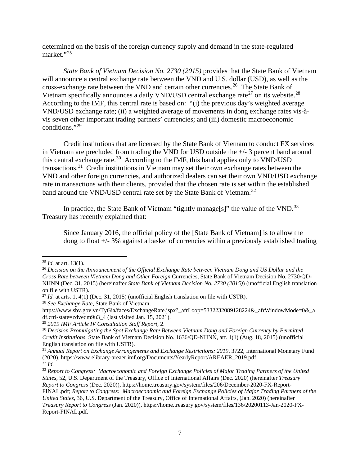determined on the basis of the foreign currency supply and demand in the state-regulated market."[25](#page-8-0)

*State Bank of Vietnam Decision No. 2730 (2015)* provides that the State Bank of Vietnam will announce a central exchange rate between the VND and U.S. dollar (USD), as well as the cross-exchange rate between the VND and certain other currencies.[26](#page-8-1) The State Bank of Vietnam specifically announces a daily VND/USD central exchange rate<sup>[27](#page-8-2)</sup> on its website.<sup>28</sup> According to the IMF, this central rate is based on: "(i) the previous day's weighted average VND/USD exchange rate; (ii) a weighted average of movements in dong exchange rates vis-àvis seven other important trading partners' currencies; and (iii) domestic macroeconomic conditions."[29](#page-8-4) 

Credit institutions that are licensed by the State Bank of Vietnam to conduct FX services in Vietnam are precluded from trading the VND for USD outside the +/- 3 percent band around this central exchange rate.<sup>30</sup> According to the IMF, this band applies only to VND/USD transactions.[31](#page-8-6) Credit institutions in Vietnam may set their own exchange rates between the VND and other foreign currencies, and authorized dealers can set their own VND/USD exchange rate in transactions with their clients, provided that the chosen rate is set within the established band around the VND/USD central rate set by the State Bank of Vietnam.<sup>[32](#page-8-7)</sup>

In practice, the State Bank of Vietnam "tightly manage[s]" the value of the VND.<sup>[33](#page-8-8)</sup> Treasury has recently explained that:

Since January 2016, the official policy of the [State Bank of Vietnam] is to allow the dong to float +/- 3% against a basket of currencies within a previously established trading

 $\overline{a}$ 

<span id="page-8-3"></span><sup>28</sup> *See Exchange Rate*, State Bank of Vietnam,

<span id="page-8-0"></span><sup>25</sup> *Id.* at art. 13(1).

<span id="page-8-1"></span><sup>26</sup> *Decision on the Announcement of the Official Exchange Rate between Vietnam Dong and US Dollar and the Cross Rate between Vietnam Dong and Other Foreign* Currencies, State Bank of Vietnam Decision No. 2730/QD-NHNN (Dec. 31, 2015) (hereinafter *State Bank of Vietnam Decision No. 2730 (2015)*) (unofficial English translation on file with USTR).

<span id="page-8-2"></span><sup>&</sup>lt;sup>27</sup> *Id.* at arts. 1, 4(1) (Dec. 31, 2015) (unofficial English translation on file with USTR).

https://www.sbv.gov.vn/TyGia/faces/ExchangeRate.jspx?\_afrLoop=5332232089128224&\_afrWindowMode=0&\_a df.ctrl-state=zdvedm9u3\_4 (last visited Jan. 15, 2021).<br><sup>29</sup> 2019 IMF Article IV Consultation Staff Report, 2.

<span id="page-8-4"></span>

<span id="page-8-5"></span><sup>&</sup>lt;sup>30</sup> Decision Promulgating the Spot Exchange Rate Between Vietnam Dong and Foreign Currency by Permitted *Credit Institutions*, State Bank of Vietnam Decision No. 1636/QD-NHNN, art. 1(1) (Aug. 18, 2015) (unofficial English translation on file with USTR).

<span id="page-8-6"></span><sup>31</sup> *Annual Report on Exchange Arrangements and Exchange Restrictions: 2019*, 3722, International Monetary Fund (2020), https://www.elibrary-areaer.imf.org/Documents/YearlyReport/AREAER\_2019.pdf. <sup>32</sup> *Id.* 

<span id="page-8-8"></span><span id="page-8-7"></span><sup>33</sup> *Report to Congress: Macroeconomic and Foreign Exchange Policies of Major Trading Partners of the United States*, 52, U.S. Department of the Treasury, Office of International Affairs (Dec. 2020) (hereinafter *Treasury Report to Congress* (Dec. 2020)), https://home.treasury.gov/system/files/206/December-2020-FX-Report-FINAL.pdf; *Report to Congress: Macroeconomic and Foreign Exchange Policies of Major Trading Partners of the United States*, 36, U.S. Department of the Treasury, Office of International Affairs, (Jan. 2020) (hereinafter *Treasury Report to Congress* (Jan. 2020)), https://home.treasury.gov/system/files/136/20200113-Jan-2020-FX-Report-FINAL.pdf.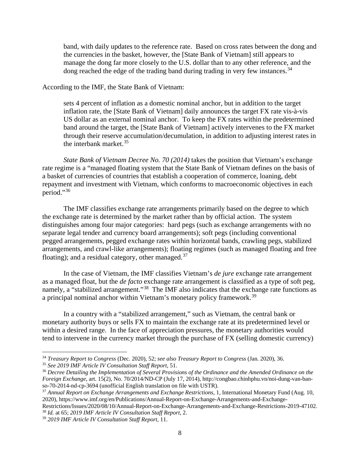band, with daily updates to the reference rate. Based on cross rates between the dong and the currencies in the basket, however, the [State Bank of Vietnam] still appears to manage the dong far more closely to the U.S. dollar than to any other reference, and the dong reached the edge of the trading band during trading in very few instances.<sup>[34](#page-9-0)</sup>

According to the IMF, the State Bank of Vietnam:

sets 4 percent of inflation as a domestic nominal anchor, but in addition to the target inflation rate, the [State Bank of Vietnam] daily announces the target FX rate vis-à-vis US dollar as an external nominal anchor. To keep the FX rates within the predetermined band around the target, the [State Bank of Vietnam] actively intervenes to the FX market through their reserve accumulation/decumulation, in addition to adjusting interest rates in the interbank market.  $35$ 

*State Bank of Vietnam Decree No. 70 (2014)* takes the position that Vietnam's exchange rate regime is a "managed floating system that the State Bank of Vietnam defines on the basis of a basket of currencies of countries that establish a cooperation of commerce, loaning, debt repayment and investment with Vietnam, which conforms to macroeconomic objectives in each period."[36](#page-9-2) 

The IMF classifies exchange rate arrangements primarily based on the degree to which the exchange rate is determined by the market rather than by official action. The system distinguishes among four major categories: hard pegs (such as exchange arrangements with no separate legal tender and currency board arrangements); soft pegs (including conventional pegged arrangements, pegged exchange rates within horizontal bands, crawling pegs, stabilized arrangements, and crawl-like arrangements); floating regimes (such as managed floating and free floating); and a residual category, other managed. $37$ 

In the case of Vietnam, the IMF classifies Vietnam's *de jure* exchange rate arrangement as a managed float, but the *de facto* exchange rate arrangement is classified as a type of soft peg, namely, a "stabilized arrangement."<sup>38</sup> The IMF also indicates that the exchange rate functions as a principal nominal anchor within Vietnam's monetary policy framework.<sup>[39](#page-9-5)</sup>

In a country with a "stabilized arrangement," such as Vietnam, the central bank or monetary authority buys or sells FX to maintain the exchange rate at its predetermined level or within a desired range. In the face of appreciation pressures, the monetary authorities would tend to intervene in the currency market through the purchase of FX (selling domestic currency)

<span id="page-9-1"></span><span id="page-9-0"></span><sup>&</sup>lt;sup>34</sup> Treasury Report to Congress (Dec. 2020), 52; see also Treasury Report to Congress (Jan. 2020), 36.<br><sup>35</sup> See 2019 IMF Article IV Consultation Staff Report, 51.<br><sup>36</sup> Decree Detailing the Implementation of Several Provi

<span id="page-9-2"></span>*Foreign Exchange*, art. 15(2), No. 70/2014/ND-CP (July 17, 2014), http://congbao.chinhphu.vn/noi-dung-van-banso-70-2014-nd-cp-3694 (unofficial English translation on file with USTR).

<span id="page-9-3"></span><sup>37</sup> *Annual Report on Exchange Arrangements and Exchange Restrictions*, 1, International Monetary Fund (Aug. 10, 2020), https://www.imf.org/en/Publications/Annual-Report-on-Exchange-Arrangements-and-Exchange-

<span id="page-9-4"></span>Restrictions/Issues/2020/08/10/Annual-Report-on-Exchange-Arrangements-and-Exchange-Restrictions-2019-47102. <sup>38</sup> *Id.* at 65; *2019 IMF Article IV Consultation Staff Report*, 2.

<span id="page-9-5"></span><sup>39</sup> *2019 IMF Article IV Consultation Staff Report*, 11.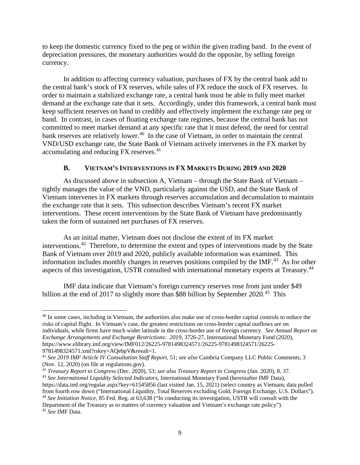to keep the domestic currency fixed to the peg or within the given trading band. In the event of depreciation pressures, the monetary authorities would do the opposite, by selling foreign currency.

In addition to affecting currency valuation, purchases of FX by the central bank add to the central bank's stock of FX reserves, while sales of FX reduce the stock of FX reserves. In order to maintain a stabilized exchange rate, a central bank must be able to fully meet market demand at the exchange rate that it sets. Accordingly, under this framework, a central bank must keep sufficient reserves on hand to credibly and effectively implement the exchange rate peg or band. In contrast, in cases of floating exchange rate regimes, because the central bank has not committed to meet market demand at any specific rate that it must defend, the need for central bank reserves are relatively lower.<sup>[40](#page-10-1)</sup> In the case of Vietnam, in order to maintain the central VND/USD exchange rate, the State Bank of Vietnam actively intervenes in the FX market by accumulating and reducing FX reserves.<sup>[41](#page-10-2)</sup>

#### **B. VIETNAM'S INTERVENTIONS IN FX MARKETS DURING 2019 AND 2020**

<span id="page-10-0"></span>As discussed above in subsection A, Vietnam – through the State Bank of Vietnam – tightly manages the value of the VND, particularly against the USD, and the State Bank of Vietnam intervenes in FX markets through reserves accumulation and decumulation to maintain the exchange rate that it sets. This subsection describes Vietnam's recent FX market interventions. These recent interventions by the State Bank of Vietnam have predominantly taken the form of sustained net purchases of FX reserves.

As an initial matter, Vietnam does not disclose the extent of its FX market interventions.[42](#page-10-3) Therefore, to determine the extent and types of interventions made by the State Bank of Vietnam over 2019 and 2020, publicly available information was examined. This information includes monthly changes in reserves positions compiled by the IMF.<sup>[43](#page-10-4)</sup> As for other aspects of this investigation, USTR consulted with international monetary experts at Treasury.[44](#page-10-5)

IMF data indicate that Vietnam's foreign currency reserves rose from just under \$49 billion at the end of 2017 to slightly more than \$88 billion by September  $2020$ <sup>45</sup>. This

<span id="page-10-1"></span><sup>&</sup>lt;sup>40</sup> In some cases, including in Vietnam, the authorities also make use of cross-border capital controls to reduce the risks of capital flight. In Vietnam's case, the greatest restrictions on cross-border capital outflows are on individuals, while firms have much wider latitude in the cross-border use of foreign currency. *See Annual Report on Exchange Arrangements and Exchange Restrictions: 2019*, 3726-27, International Monetary Fund (2020), https://www.elibrary.imf.org/view/IMF012/26225-9781498324571/26225-9781498324571/26225- 9781498324571.xml?rskey=AQebpV&result=1.

<span id="page-10-2"></span><sup>41</sup> *See 2019 IMF Article IV Consultation Staff Report*, 51; *see also* Cambria Company LLC Public Comments, 3 (Nov. 12, 2020) (on file at regulations.gov).

<span id="page-10-3"></span><sup>42</sup> *Treasury Report to Congress* (Dec*.* 2020), 53; *see also Treasury Report to Congress* (Jan. 2020), 8, 37*.*

<span id="page-10-6"></span><span id="page-10-5"></span><span id="page-10-4"></span><sup>43</sup> *See International Liquidity Selected Indicators*, International Monetary Fund (hereinafter IMF Data), https://data.imf.org/regular.aspx?key=61545856 (last visited Jan. 15, 2021) (select country as Vietnam; data pulled from fourth row down ("International Liquidity, Total Reserves excluding Gold, Foreign Exchange, U.S. Dollars"). <sup>44</sup> *See Initiation Notice*, 85 Fed. Reg. at 63,638 ("In conducting its investigation, USTR will consult with the Department of the Treasury as to matters of currency valuation and Vietnam's exchange rate policy"). <sup>45</sup> *See* IMF Data.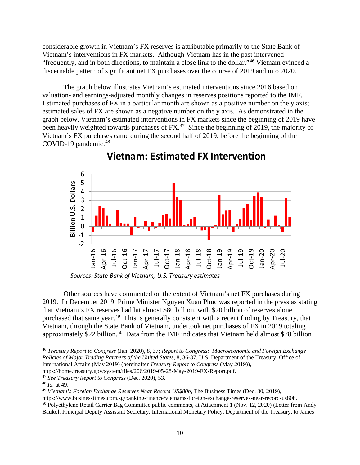considerable growth in Vietnam's FX reserves is attributable primarily to the State Bank of Vietnam's interventions in FX markets. Although Vietnam has in the past intervened "frequently, and in both directions, to maintain a close link to the dollar,"[46](#page-11-0) Vietnam evinced a discernable pattern of significant net FX purchases over the course of 2019 and into 2020.

The graph below illustrates Vietnam's estimated interventions since 2016 based on valuation- and earnings-adjusted monthly changes in reserves positions reported to the IMF. Estimated purchases of FX in a particular month are shown as a positive number on the y axis; estimated sales of FX are shown as a negative number on the y axis. As demonstrated in the graph below, Vietnam's estimated interventions in FX markets since the beginning of 2019 have been heavily weighted towards purchases of  $FX<sup>47</sup>$  $FX<sup>47</sup>$  $FX<sup>47</sup>$ . Since the beginning of 2019, the majority of Vietnam's FX purchases came during the second half of 2019, before the beginning of the COVID-19 pandemic.<sup>[48](#page-11-2)</sup>



**Vietnam: Estimated FX Intervention**

Other sources have commented on the extent of Vietnam's net FX purchases during 2019. In December 2019, Prime Minister Nguyen Xuan Phuc was reported in the press as stating that Vietnam's FX reserves had hit almost \$80 billion, with \$20 billion of reserves alone purchased that same year.<sup>[49](#page-11-3)</sup> This is generally consistent with a recent finding by Treasury, that Vietnam, through the State Bank of Vietnam, undertook net purchases of FX in 2019 totaling approximately  $$22$  billion.<sup>[50](#page-11-4)</sup> Data from the IMF indicates that Vietnam held almost \$78 billion

<span id="page-11-1"></span><sup>47</sup> *See Treasury Report to Congress* (Dec. 2020), 53.

 $\overline{\phantom{a}}$ 

Baukol, Principal Deputy Assistant Secretary, International Monetary Policy, Department of the Treasury, to James

*Sources: State Bank of Vietnam, U.S. Treasury estimates*

<span id="page-11-0"></span><sup>46</sup> *Treasury Report to Congress* (Jan. 2020), 8, 37; *Report to Congress: Macroeconomic and Foreign Exchange Policies of Major Trading Partners of the United States*, 8, 36-37, U.S. Department of the Treasury, Office of International Affairs (May 2019) (hereinafter *Treasury Report to Congress* (May 2019)), https://home.treasury.gov/system/files/206/2019-05-28-May-2019-FX-Report.pdf.

<span id="page-11-2"></span><sup>48</sup> *Id.* at 49.

<span id="page-11-3"></span><sup>49</sup> *Vietnam's Foreign Exchange Reserves Near Record US\$80b*, The Business Times (Dec. 30, 2019),

<span id="page-11-4"></span>https://www.businesstimes.com.sg/banking-finance/vietnams-foreign-exchange-reserves-near-record-us80b. <sup>50</sup> Polyethylene Retail Carrier Bag Committee public comments, at Attachment 1 (Nov. 12, 2020) (Letter from Andy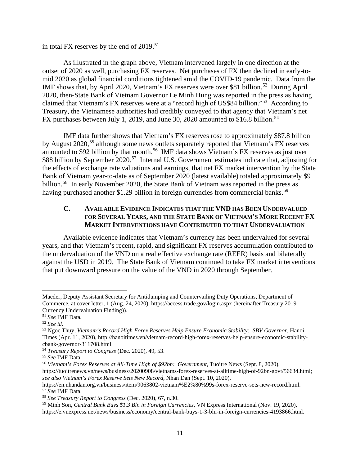in total FX reserves by the end of  $2019$ .<sup>[51](#page-12-1)</sup>

As illustrated in the graph above, Vietnam intervened largely in one direction at the outset of 2020 as well, purchasing FX reserves. Net purchases of FX then declined in early-tomid 2020 as global financial conditions tightened amid the COVID-19 pandemic. Data from the IMF shows that, by April 2020, Vietnam's FX reserves were over \$81 billion.<sup>52</sup> During April 2020, then-State Bank of Vietnam Governor Le Minh Hung was reported in the press as having claimed that Vietnam's FX reserves were at a "record high of US\$84 billion."[53](#page-12-3) According to Treasury, the Vietnamese authorities had credibly conveyed to that agency that Vietnam's net FX purchases between July 1, 2019, and June 30, 2020 amounted to \$16.8 billion.<sup>[54](#page-12-4)</sup>

IMF data further shows that Vietnam's FX reserves rose to approximately \$87.8 billion by August 2020,<sup>[55](#page-12-5)</sup> although some news outlets separately reported that Vietnam's FX reserves amounted to \$92 billion by that month.<sup>[56](#page-12-6)</sup> IMF data shows Vietnam's FX reserves as just over \$88 billion by September 2020.<sup>[57](#page-12-7)</sup> Internal U.S. Government estimates indicate that, adjusting for the effects of exchange rate valuations and earnings, that net FX market intervention by the State Bank of Vietnam year-to-date as of September 2020 (latest available) totaled approximately \$9 billion.<sup>58</sup> In early November 2020, the State Bank of Vietnam was reported in the press as having purchased another \$1.29 billion in foreign currencies from commercial banks.<sup>59</sup>

#### <span id="page-12-0"></span>**C. AVAILABLE EVIDENCE INDICATES THAT THE VND HAS BEEN UNDERVALUED FOR SEVERAL YEARS, AND THE STATE BANK OF VIETNAM'S MORE RECENT FX MARKET INTERVENTIONS HAVE CONTRIBUTED TO THAT UNDERVALUATION**

Available evidence indicates that Vietnam's currency has been undervalued for several years, and that Vietnam's recent, rapid, and significant FX reserves accumulation contributed to the undervaluation of the VND on a real effective exchange rate (REER) basis and bilaterally against the USD in 2019. The State Bank of Vietnam continued to take FX market interventions that put downward pressure on the value of the VND in 2020 through September.

Maeder, Deputy Assistant Secretary for Antidumping and Countervailing Duty Operations, Department of Commerce, at cover letter, 1 (Aug. 24, 2020), https://access.trade.gov/login.aspx (hereinafter Treasury 2019 Currency Undervaluation Finding)).

<span id="page-12-1"></span><sup>51</sup> *See* IMF Data*.*

<span id="page-12-2"></span><sup>52</sup> *See id.* 

<span id="page-12-3"></span><sup>53</sup> Ngoc Thuy, *Vietnam's Record High Forex Reserves Help Ensure Economic Stability: SBV Governor*, Hanoi Times (Apr. 11, 2020), http://hanoitimes.vn/vietnam-record-high-forex-reserves-help-ensure-economic-stability-

<span id="page-12-4"></span>cbank-governor-311708.html. 54 *Treasury Report to Congress* (Dec. 2020), 49, 53.

<span id="page-12-5"></span><sup>55</sup> *See* IMF Data.

<span id="page-12-6"></span><sup>56</sup> *Vietnam's Forex Reserves at All-Time High of \$92bn: Government*, Tuoitre News (Sept. 8, 2020),

https://tuoitrenews.vn/news/business/20200908/vietnams-forex-reserves-at-alltime-high-of-92bn-govt/56634.html; *see also Vietnam's Forex Reserve Sets New Record*, Nhan Dan (Sept. 10, 2020),

<span id="page-12-7"></span>https://en.nhandan.org.vn/business/item/9063802-vietnam%E2%80%99s-forex-reserve-sets-new-record.html. 57 *See* IMF Data.

<span id="page-12-8"></span><sup>58</sup> *See Treasury Report to Congress* (Dec. 2020), 67, n.30.

<span id="page-12-9"></span><sup>59</sup> Minh Son, *Central Bank Buys \$1.3 Bln in Foreign Currencies*, VN Express International (Nov. 19, 2020), https://e.vnexpress.net/news/business/economy/central-bank-buys-1-3-bln-in-foreign-currencies-4193866.html.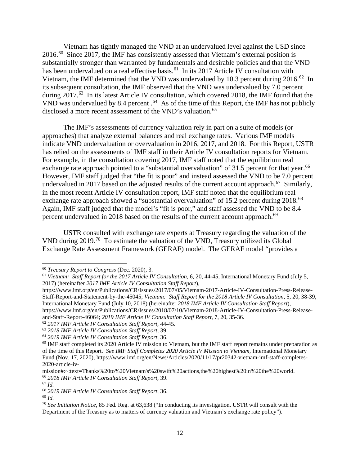Vietnam has tightly managed the VND at an undervalued level against the USD since 2016.[60](#page-13-0) Since 2017, the IMF has consistently assessed that Vietnam's external position is substantially stronger than warranted by fundamentals and desirable policies and that the VND has been undervalued on a real effective basis.<sup>61</sup> In its 2017 Article IV consultation with Vietnam, the IMF determined that the VND was undervalued by 10.3 percent during 2016.[62](#page-13-2) In its subsequent consultation, the IMF observed that the VND was undervalued by 7.0 percent during 2017.<sup>63</sup> In its latest Article IV consultation, which covered 2018, the IMF found that the VND was undervalued by 8.4 percent  $.64\text{ As}$  of the time of this Report, the IMF has not publicly disclosed a more recent assessment of the VND's valuation.<sup>65</sup>

The IMF's assessments of currency valuation rely in part on a suite of models (or approaches) that analyze external balances and real exchange rates. Various IMF models indicate VND undervaluation or overvaluation in 2016, 2017, and 2018. For this Report, USTR has relied on the assessments of IMF staff in their Article IV consultation reports for Vietnam. For example, in the consultation covering 2017, IMF staff noted that the equilibrium real exchange rate approach pointed to a "substantial overvaluation" of 31.5 percent for that year.<sup>[66](#page-13-6)</sup> However, IMF staff judged that "the fit is poor" and instead assessed the VND to be 7.0 percent undervalued in 2017 based on the adjusted results of the current account approach.<sup>[67](#page-13-7)</sup> Similarly, in the most recent Article IV consultation report, IMF staff noted that the equilibrium real exchange rate approach showed a "substantial overvaluation" of 15.2 percent during 2018.<sup>[68](#page-13-8)</sup> Again, IMF staff judged that the model's "fit is poor," and staff assessed the VND to be 8.4 percent undervalued in 2018 based on the results of the current account approach.<sup>69</sup>

USTR consulted with exchange rate experts at Treasury regarding the valuation of the VND during 2019.[70](#page-13-10) To estimate the valuation of the VND, Treasury utilized its Global Exchange Rate Assessment Framework (GERAF) model. The GERAF model "provides a

<span id="page-13-0"></span><sup>60</sup> *Treasury Report to Congress* (Dec. 2020), 3.

<span id="page-13-1"></span><sup>61</sup> *Vietnam: Staff Report for the 2017 Article IV Consultation*, 6, 20, 44-45, International Monetary Fund (July 5, 2017) (hereinafter *2017 IMF Article IV Consultation Staff Report*),

https://www.imf.org/en/Publications/CR/Issues/2017/07/05/Vietnam-2017-Article-IV-Consultation-Press-Release-Staff-Report-and-Statement-by-the-45045; *Vietnam: Staff Report for the 2018 Article IV Consultation*, 5, 20, 38-39, International Monetary Fund (July 10, 2018) (hereinafter *2018 IMF Article IV Consultation Staff Report*), https://www.imf.org/en/Publications/CR/Issues/2018/07/10/Vietnam-2018-Article-IV-Consultation-Press-Releaseand-Staff-Report-46064; *2019 IMF Article IV Consultation Staff Report*, 7, 20, 35-36.

<span id="page-13-3"></span><span id="page-13-2"></span><sup>62</sup> *2017 IMF Article IV Consultation Staff Report*, 44-45.

<span id="page-13-5"></span><span id="page-13-4"></span> $^{64}$  2019 IMF Article IV Consultation Staff Report, 36.<br> $^{65}$  IMF staff completed its 2020 Article IV mission to Vietnam, but the IMF staff report remains under preparation as of the time of this Report. *See IMF Staff Completes 2020 Article IV Mission to Vietnam*, International Monetary Fund (Nov. 17, 2020), https://www.imf.org/en/News/Articles/2020/11/17/pr20342-vietnam-imf-staff-completes-2020-article-iv-

<span id="page-13-6"></span>mission#:~:text=Thanks%20to%20Vietnam's%20swift%20actions,the%20highest%20in%20the%20world. 66 *2018 IMF Article IV Consultation Staff Report*, 39. 67 *Id.*

<span id="page-13-7"></span>

<span id="page-13-8"></span><sup>68</sup> *2019 IMF Article IV Consultation Staff Report*, 36. 69 *Id.* 

<span id="page-13-9"></span>

<span id="page-13-10"></span><sup>70</sup> *See Initiation Notice*, 85 Fed. Reg. at 63,638 ("In conducting its investigation, USTR will consult with the Department of the Treasury as to matters of currency valuation and Vietnam's exchange rate policy").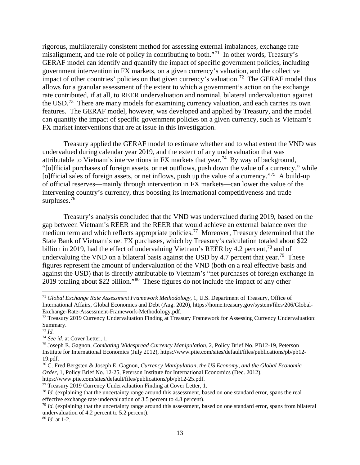rigorous, multilaterally consistent method for assessing external imbalances, exchange rate misalignment, and the role of policy in contributing to both."[71](#page-14-0) In other words, Treasury's GERAF model can identify and quantify the impact of specific government policies, including government intervention in FX markets, on a given currency's valuation, and the collective impact of other countries' policies on that given currency's valuation.<sup>[72](#page-14-1)</sup> The GERAF model thus allows for a granular assessment of the extent to which a government's action on the exchange rate contributed, if at all, to REER undervaluation and nominal, bilateral undervaluation against the USD.[73](#page-14-2) There are many models for examining currency valuation, and each carries its own features. The GERAF model, however, was developed and applied by Treasury, and the model can quantity the impact of specific government policies on a given currency, such as Vietnam's FX market interventions that are at issue in this investigation.

Treasury applied the GERAF model to estimate whether and to what extent the VND was undervalued during calendar year 2019, and the extent of any undervaluation that was attributable to Vietnam's interventions in FX markets that year.<sup>[74](#page-14-3)</sup> By way of background, "[o]fficial purchases of foreign assets, or net outflows, push down the value of a currency," while [o]fficial sales of foreign assets, or net inflows, push up the value of a currency."<sup>75</sup> A build-up of official reserves—mainly through intervention in FX markets—can lower the value of the intervening country's currency, thus boosting its international competitiveness and trade surpluses.<sup>[76](#page-14-5)</sup>

Treasury's analysis concluded that the VND was undervalued during 2019, based on the gap between Vietnam's REER and the REER that would achieve an external balance over the medium term and which reflects appropriate policies.<sup>77</sup> Moreover, Treasury determined that the State Bank of Vietnam's net FX purchases, which by Treasury's calculation totaled about \$22 billion in 2019, had the effect of undervaluing Vietnam's REER by 4.2 percent,<sup>[78](#page-14-7)</sup> and of undervaluing the VND on a bilateral basis against the USD by 4.7 percent that year.<sup>79</sup> These figures represent the amount of undervaluation of the VND (both on a real effective basis and against the USD) that is directly attributable to Vietnam's "net purchases of foreign exchange in 2019 totaling about \$22 billion."[80](#page-14-9) These figures do not include the impact of any other

<span id="page-14-0"></span><sup>71</sup> *Global Exchange Rate Assessment Framework Methodology,* 1, U.S. Department of Treasury, Office of International Affairs, Global Economics and Debt (Aug. 2020), https://home.treasury.gov/system/files/206/Global-Exchange-Rate-Assessment-Framework-Methodology.pdf.<br><sup>72</sup> Treasury 2019 Currency Undervaluation Finding at Treasury Framework for Assessing Currency Undervaluation:

<span id="page-14-1"></span>Summary.

<span id="page-14-2"></span><sup>73</sup> *Id.*

<span id="page-14-3"></span><sup>74</sup> *See id.* at Cover Letter, 1.

<span id="page-14-4"></span><sup>75</sup> Joseph E. Gagnon, *Combating Widespread Currency Manipulation*, 2, Policy Brief No. PB12-19, Peterson Institute for International Economics (July 2012), https://www.piie.com/sites/default/files/publications/pb/pb12- 19.pdf.

<span id="page-14-5"></span><sup>76</sup> C. Fred Bergsten & Joseph E. Gagnon, *Currency Manipulation, the US Economy, and the Global Economic Order*, 1, Policy Brief No. 12-25, Peterson Institute for International Economics (Dec. 2012), https://www.piie.com/sites/default/files/publications/pb/pb12-25.pdf.

<span id="page-14-6"></span><sup>&</sup>lt;sup>77</sup> Treasury 2019 Currency Undervaluation Finding at Cover Letter, 1.

<span id="page-14-7"></span><sup>78</sup> *Id.* (explaining that the uncertainty range around this assessment, based on one standard error, spans the real effective exchange rate undervaluation of 3.5 percent to 4.8 percent).

<span id="page-14-8"></span><sup>79</sup> *Id.* (explaining that the uncertainty range around this assessment, based on one standard error, spans from bilateral undervaluation of 4.2 percent to 5.2 percent).

<span id="page-14-9"></span><sup>80</sup> *Id.* at 1-2.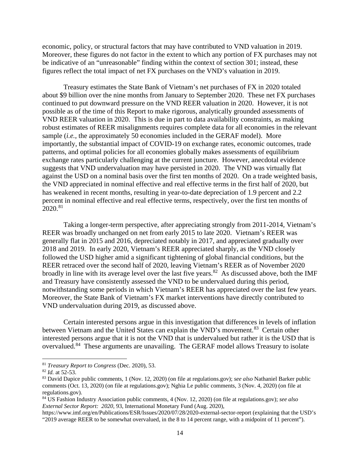economic, policy, or structural factors that may have contributed to VND valuation in 2019. Moreover, these figures do not factor in the extent to which any portion of FX purchases may not be indicative of an "unreasonable" finding within the context of section 301; instead, these figures reflect the total impact of net FX purchases on the VND's valuation in 2019.

Treasury estimates the State Bank of Vietnam's net purchases of FX in 2020 totaled about \$9 billion over the nine months from January to September 2020. These net FX purchases continued to put downward pressure on the VND REER valuation in 2020. However, it is not possible as of the time of this Report to make rigorous, analytically grounded assessments of VND REER valuation in 2020. This is due in part to data availability constraints, as making robust estimates of REER misalignments requires complete data for all economies in the relevant sample (*i.e.*, the approximately 50 economies included in the GERAF model). More importantly, the substantial impact of COVID-19 on exchange rates, economic outcomes, trade patterns, and optimal policies for all economies globally makes assessments of equilibrium exchange rates particularly challenging at the current juncture. However, anecdotal evidence suggests that VND undervaluation may have persisted in 2020. The VND was virtually flat against the USD on a nominal basis over the first ten months of 2020. On a trade weighted basis, the VND appreciated in nominal effective and real effective terms in the first half of 2020, but has weakened in recent months, resulting in year-to-date depreciation of 1.9 percent and 2.2 percent in nominal effective and real effective terms, respectively, over the first ten months of 2020.[81](#page-15-0) 

Taking a longer-term perspective, after appreciating strongly from 2011-2014, Vietnam's REER was broadly unchanged on net from early 2015 to late 2020. Vietnam's REER was generally flat in 2015 and 2016, depreciated notably in 2017, and appreciated gradually over 2018 and 2019. In early 2020, Vietnam's REER appreciated sharply, as the VND closely followed the USD higher amid a significant tightening of global financial conditions, but the REER retraced over the second half of 2020, leaving Vietnam's REER as of November 2020 broadly in line with its average level over the last five years.<sup>[82](#page-15-1)</sup> As discussed above, both the IMF and Treasury have consistently assessed the VND to be undervalued during this period, notwithstanding some periods in which Vietnam's REER has appreciated over the last few years. Moreover, the State Bank of Vietnam's FX market interventions have directly contributed to VND undervaluation during 2019, as discussed above.

Certain interested persons argue in this investigation that differences in levels of inflation between Vietnam and the United States can explain the VND's movement.<sup>[83](#page-15-2)</sup> Certain other interested persons argue that it is not the VND that is undervalued but rather it is the USD that is overvalued.[84](#page-15-3) These arguments are unavailing. The GERAF model allows Treasury to isolate

 $\overline{a}$ 

<span id="page-15-0"></span><sup>81</sup> *Treasury Report to Congress* (Dec. 2020), 53. 82 *Id.* at 52-53.

<span id="page-15-1"></span>

<span id="page-15-2"></span><sup>83</sup> David Dapice public comments, 1 (Nov. 12, 2020) (on file at regulations.gov); *see also* Nathaniel Barker public comments (Oct. 13, 2020) (on file at regulations.gov); Nghia Le public comments, 3 (Nov. 4, 2020) (on file at regulations.gov).

<span id="page-15-3"></span><sup>84</sup> US Fashion Industry Association public comments, 4 (Nov. 12, 2020) (on file at regulations.gov); *see also External Sector Report: 2020*, 93, International Monetary Fund (Aug. 2020),

https://www.imf.org/en/Publications/ESR/Issues/2020/07/28/2020-external-sector-report (explaining that the USD's "2019 average REER to be somewhat overvalued, in the 8 to 14 percent range, with a midpoint of 11 percent").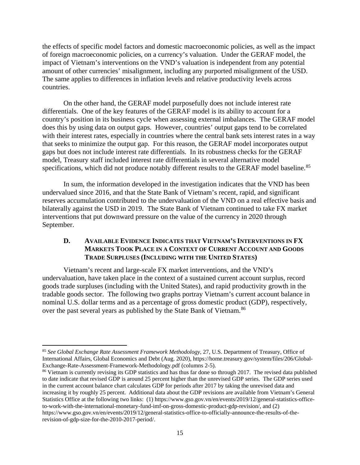the effects of specific model factors and domestic macroeconomic policies, as well as the impact of foreign macroeconomic policies, on a currency's valuation. Under the GERAF model, the impact of Vietnam's interventions on the VND's valuation is independent from any potential amount of other currencies' misalignment, including any purported misalignment of the USD. The same applies to differences in inflation levels and relative productivity levels across countries.

On the other hand, the GERAF model purposefully does not include interest rate differentials. One of the key features of the GERAF model is its ability to account for a country's position in its business cycle when assessing external imbalances. The GERAF model does this by using data on output gaps. However, countries' output gaps tend to be correlated with their interest rates, especially in countries where the central bank sets interest rates in a way that seeks to minimize the output gap. For this reason, the GERAF model incorporates output gaps but does not include interest rate differentials. In its robustness checks for the GERAF model, Treasury staff included interest rate differentials in several alternative model specifications, which did not produce notably different results to the GERAF model baseline.<sup>[85](#page-16-1)</sup>

In sum, the information developed in the investigation indicates that the VND has been undervalued since 2016, and that the State Bank of Vietnam's recent, rapid, and significant reserves accumulation contributed to the undervaluation of the VND on a real effective basis and bilaterally against the USD in 2019. The State Bank of Vietnam continued to take FX market interventions that put downward pressure on the value of the currency in 2020 through September.

#### <span id="page-16-0"></span>**D. AVAILABLE EVIDENCE INDICATES THAT VIETNAM'S INTERVENTIONS IN FX MARKETS TOOK PLACE IN A CONTEXT OF CURRENT ACCOUNT AND GOODS TRADE SURPLUSES (INCLUDING WITH THE UNITED STATES)**

Vietnam's recent and large-scale FX market interventions, and the VND's undervaluation, have taken place in the context of a sustained current account surplus, record goods trade surpluses (including with the United States), and rapid productivity growth in the tradable goods sector. The following two graphs portray Vietnam's current account balance in nominal U.S. dollar terms and as a percentage of gross domestic product (GDP), respectively, over the past several years as published by the State Bank of Vietnam.<sup>[86](#page-16-2)</sup>

 $\overline{\phantom{a}}$ 

<span id="page-16-2"></span><sup>86</sup> Vietnam is currently revising its GDP statistics and has thus far done so through 2017. The revised data published to date indicate that revised GDP is around 25 percent higher than the unrevised GDP series. The GDP series used in the current account balance chart calculates GDP for periods after 2017 by taking the unrevised data and increasing it by roughly 25 percent. Additional data about the GDP revisions are available from Vietnam's General Statistics Office at the following two links: (1) https://www.gso.gov.vn/en/events/2019/12/general-statistics-officeto-work-with-the-international-monetary-fund-imf-on-gross-domestic-product-gdp-revision/, and (2) https://www.gso.gov.vn/en/events/2019/12/general-statistics-office-to-officially-announce-the-results-of-therevision-of-gdp-size-for-the-2010-2017-period/.

<span id="page-16-1"></span><sup>85</sup> *See Global Exchange Rate Assessment Framework Methodology*, 27, U.S. Department of Treasury, Office of International Affairs, Global Economics and Debt (Aug. 2020), https://home.treasury.gov/system/files/206/Global-Exchange-Rate-Assessment-Framework-Methodology.pdf (columns 2-5).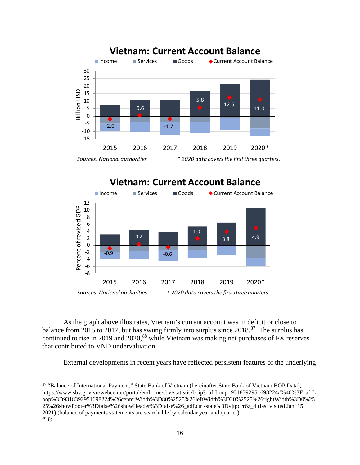

# **Vietnam: Current Account Balance**



As the graph above illustrates, Vietnam's current account was in deficit or close to balance from 2015 to 2017, but has swung firmly into surplus since  $2018$ <sup>87</sup>. The surplus has continued to rise in 2019 and 2020,<sup>[88](#page-17-1)</sup> while Vietnam was making net purchases of FX reserves that contributed to VND undervaluation.

External developments in recent years have reflected persistent features of the underlying

<span id="page-17-1"></span><span id="page-17-0"></span><sup>87</sup> "Balance of International Payment," State Bank of Vietnam (hereinafter State Bank of Vietnam BOP Data), https://www.sbv.gov.vn/webcenter/portal/en/home/sbv/statistic/boip?\_afrLoop=9318392951698224#%40%3F\_afrL oop%3D9318392951698224%26centerWidth%3D80%2525%26leftWidth%3D20%2525%26rightWidth%3D0%25 25%26showFooter%3Dfalse%26showHeader%3Dfalse%26\_adf.ctrl-state%3Dvjtpccr6z\_4 (last visited Jan. 15, 2021) (balance of payments statements are searchable by calendar year and quarter). <sup>88</sup> *Id.*

 $\overline{a}$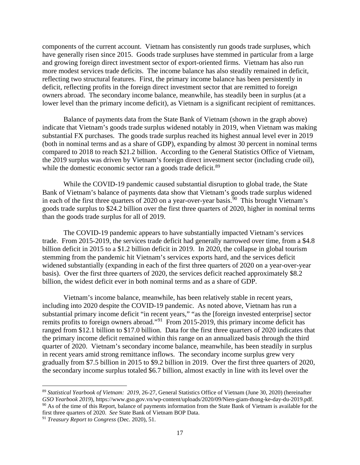components of the current account. Vietnam has consistently run goods trade surpluses, which have generally risen since 2015. Goods trade surpluses have stemmed in particular from a large and growing foreign direct investment sector of export-oriented firms. Vietnam has also run more modest services trade deficits. The income balance has also steadily remained in deficit, reflecting two structural features. First, the primary income balance has been persistently in deficit, reflecting profits in the foreign direct investment sector that are remitted to foreign owners abroad. The secondary income balance, meanwhile, has steadily been in surplus (at a lower level than the primary income deficit), as Vietnam is a significant recipient of remittances.

Balance of payments data from the State Bank of Vietnam (shown in the graph above) indicate that Vietnam's goods trade surplus widened notably in 2019, when Vietnam was making substantial FX purchases. The goods trade surplus reached its highest annual level ever in 2019 (both in nominal terms and as a share of GDP), expanding by almost 30 percent in nominal terms compared to 2018 to reach \$21.2 billion. According to the General Statistics Office of Vietnam, the 2019 surplus was driven by Vietnam's foreign direct investment sector (including crude oil), while the domestic economic sector ran a goods trade deficit.<sup>[89](#page-18-0)</sup>

While the COVID-19 pandemic caused substantial disruption to global trade, the State Bank of Vietnam's balance of payments data show that Vietnam's goods trade surplus widened in each of the first three quarters of 2020 on a year-over-year basis.<sup>[90](#page-18-1)</sup> This brought Vietnam's goods trade surplus to \$24.2 billion over the first three quarters of 2020, higher in nominal terms than the goods trade surplus for all of 2019.

The COVID-19 pandemic appears to have substantially impacted Vietnam's services trade. From 2015-2019, the services trade deficit had generally narrowed over time, from a \$4.8 billion deficit in 2015 to a \$1.2 billion deficit in 2019. In 2020, the collapse in global tourism stemming from the pandemic hit Vietnam's services exports hard, and the services deficit widened substantially (expanding in each of the first three quarters of 2020 on a year-over-year basis). Over the first three quarters of 2020, the services deficit reached approximately \$8.2 billion, the widest deficit ever in both nominal terms and as a share of GDP.

Vietnam's income balance, meanwhile, has been relatively stable in recent years, including into 2020 despite the COVID-19 pandemic. As noted above, Vietnam has run a substantial primary income deficit "in recent years," "as the [foreign invested enterprise] sector remits profits to foreign owners abroad."[91](#page-18-2) From 2015-2019, this primary income deficit has ranged from \$12.1 billion to \$17.0 billion. Data for the first three quarters of 2020 indicates that the primary income deficit remained within this range on an annualized basis through the third quarter of 2020. Vietnam's secondary income balance, meanwhile, has been steadily in surplus in recent years amid strong remittance inflows. The secondary income surplus grew very gradually from \$7.5 billion in 2015 to \$9.2 billion in 2019. Over the first three quarters of 2020, the secondary income surplus totaled \$6.7 billion, almost exactly in line with its level over the

<span id="page-18-1"></span><span id="page-18-0"></span><sup>89</sup> *Statistical Yearbook of Vietnam: 2019*, 26-27, General Statistics Office of Vietnam (June 30, 2020) (hereinafter *GSO Yearbook 2019*), https://www.gso.gov.vn/wp-content/uploads/2020/09/Nien-giam-thong-ke-day-du-2019.pdf.  $90$  As of the time of this Report, balance of payments information from the State Bank of Vietnam is available for the first three quarters of 2020. *See* State Bank of Vietnam BOP Data.

<span id="page-18-2"></span><sup>91</sup> *Treasury Report to Congress* (Dec. 2020), 51.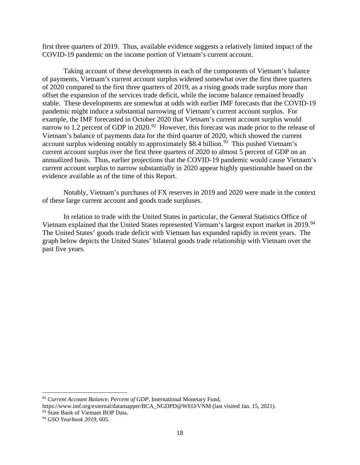first three quarters of 2019. Thus, available evidence suggests a relatively limited impact of the COVID-19 pandemic on the income portion of Vietnam's current account.

Taking account of these developments in each of the components of Vietnam's balance of payments, Vietnam's current account surplus widened somewhat over the first three quarters of 2020 compared to the first three quarters of 2019, as a rising goods trade surplus more than offset the expansion of the services trade deficit, while the income balance remained broadly stable. These developments are somewhat at odds with earlier IMF forecasts that the COVID-19 pandemic might induce a substantial narrowing of Vietnam's current account surplus. For example, the IMF forecasted in October 2020 that Vietnam's current account surplus would narrow to 1.2 percent of GDP in 2020.<sup>92</sup> However, this forecast was made prior to the release of Vietnam's balance of payments data for the third quarter of 2020, which showed the current account surplus widening notably to approximately \$8.4 billion.<sup>[93](#page-19-1)</sup> This pushed Vietnam's current account surplus over the first three quarters of 2020 to almost 5 percent of GDP on an annualized basis. Thus, earlier projections that the COVID-19 pandemic would cause Vietnam's current account surplus to narrow substantially in 2020 appear highly questionable based on the evidence available as of the time of this Report.

Notably, Vietnam's purchases of FX reserves in 2019 and 2020 were made in the context of these large current account and goods trade surpluses.

In relation to trade with the United States in particular, the General Statistics Office of Vietnam explained that the United States represented Vietnam's largest export market in 2019.<sup>[94](#page-19-2)</sup> The United States' goods trade deficit with Vietnam has expanded rapidly in recent years. The graph below depicts the United States' bilateral goods trade relationship with Vietnam over the past five years.

<span id="page-19-0"></span><sup>92</sup> *Current Account Balance, Percent of GDP*, International Monetary Fund,

https://www.imf.org/external/datamapper/BCA\_NGDPD@WEO/VNM (last visited Jan. 15, 2021).

<span id="page-19-1"></span><sup>&</sup>lt;sup>93</sup> State Bank of Vietnam BOP Data.

<span id="page-19-2"></span><sup>94</sup> *GSO Yearbook 2019*, 605.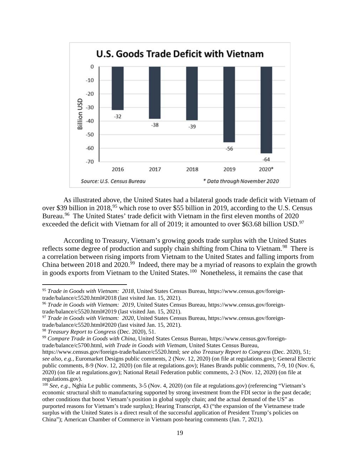

As illustrated above, the United States had a bilateral goods trade deficit with Vietnam of over \$39 billion in 2018,<sup>[95](#page-20-0)</sup> which rose to over \$55 billion in 2019, according to the U.S. Census Bureau.<sup>[96](#page-20-1)</sup> The United States' trade deficit with Vietnam in the first eleven months of 2020 exceeded the deficit with Vietnam for all of 2019; it amounted to over \$63.68 billion USD.<sup>[97](#page-20-2)</sup>

According to Treasury, Vietnam's growing goods trade surplus with the United States reflects some degree of production and supply chain shifting from China to Vietnam.<sup>98</sup> There is a correlation between rising imports from Vietnam to the United States and falling imports from China between 2018 and  $2020.^{99}$  Indeed, there may be a myriad of reasons to explain the growth in goods exports from Vietnam to the United States.<sup>100</sup> Nonetheless, it remains the case that

<span id="page-20-0"></span><sup>95</sup> *Trade in Goods with Vietnam: 2018*, United States Census Bureau, https://www.census.gov/foreigntrade/balance/c5520.html#2018 (last visited Jan. 15, 2021).

<span id="page-20-1"></span><sup>96</sup> *Trade in Goods with Vietnam: 2019*, United States Census Bureau, https://www.census.gov/foreigntrade/balance/c5520.html#2019 (last visited Jan. 15, 2021).

<span id="page-20-2"></span><sup>97</sup> *Trade in Goods with Vietnam: 2020*, United States Census Bureau, https://www.census.gov/foreigntrade/balance/c5520.html#2020 (last visited Jan. 15, 2021).

<span id="page-20-3"></span><sup>98</sup> *Treasury Report to Congress* (Dec. 2020), 51.

<span id="page-20-4"></span><sup>99</sup> *Compare Trade in Goods with China*, United States Census Bureau, https://www.census.gov/foreigntrade/balance/c5700.html, *with Trade in Goods with Vietnam*, United States Census Bureau,

https://www.census.gov/foreign-trade/balance/c5520.html; *see also Treasury Report to Congress* (Dec. 2020), 51; *see also, e.g.,* Euromarket Designs public comments, 2 (Nov. 12, 2020) (on file at regulations.gov); General Electric public comments, 8-9 (Nov. 12, 2020) (on file at regulations.gov); Hanes Brands public comments, 7-9, 10 (Nov. 6, 2020) (on file at regulations.gov); National Retail Federation public comments, 2-3 (Nov. 12, 2020) (on file at regulations.gov).

<span id="page-20-5"></span><sup>&</sup>lt;sup>100</sup> *See, e.g.,* Nghia Le public comments, 3-5 (Nov. 4, 2020) (on file at regulations.gov) (referencing "Vietnam's economic structural shift to manufacturing supported by strong investment from the FDI sector in the past decade; other conditions that boost Vietnam's position in global supply chain; and the actual demand of the US" as purported reasons for Vietnam's trade surplus); Hearing Transcript, 43 ("the expansion of the Vietnamese trade surplus with the United States is a direct result of the successful application of President Trump's policies on China"); American Chamber of Commerce in Vietnam post-hearing comments (Jan. 7, 2021).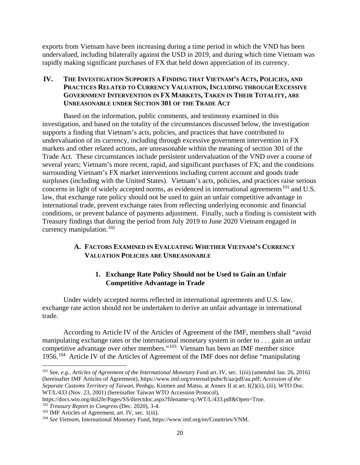exports from Vietnam have been increasing during a time period in which the VND has been undervalued, including bilaterally against the USD in 2019, and during which time Vietnam was rapidly making significant purchases of FX that held down appreciation of its currency.

#### <span id="page-21-0"></span>**IV. THE INVESTIGATION SUPPORTS A FINDING THAT VIETNAM'S ACTS, POLICIES, AND PRACTICES RELATED TO CURRENCY VALUATION, INCLUDING THROUGH EXCESSIVE GOVERNMENT INTERVENTION IN FX MARKETS, TAKEN IN THEIR TOTALITY, ARE UNREASONABLE UNDER SECTION 301 OF THE TRADE ACT**

Based on the information, public comments, and testimony examined in this investigation, and based on the totality of the circumstances discussed below, the investigation supports a finding that Vietnam's acts, policies, and practices that have contributed to undervaluation of its currency, including through excessive government intervention in FX markets and other related actions, are unreasonable within the meaning of section 301 of the Trade Act. These circumstances include persistent undervaluation of the VND over a course of several years; Vietnam's more recent, rapid, and significant purchases of FX; and the conditions surrounding Vietnam's FX market interventions including current account and goods trade surpluses (including with the United States). Vietnam's acts, policies, and practices raise serious concerns in light of widely accepted norms, as evidenced in international agreements<sup>[101](#page-21-3)</sup> and U.S. law, that exchange rate policy should not be used to gain an unfair competitive advantage in international trade, prevent exchange rates from reflecting underlying economic and financial conditions, or prevent balance of payments adjustment. Finally, such a finding is consistent with Treasury findings that during the period from July 2019 to June 2020 Vietnam engaged in currency manipulation.[102](#page-21-4) 

### <span id="page-21-1"></span>**A. FACTORS EXAMINED IN EVALUATING WHETHER VIETNAM'S CURRENCY VALUATION POLICIES ARE UNREASONABLE**

# **1. Exchange Rate Policy Should not be Used to Gain an Unfair Competitive Advantage in Trade**

<span id="page-21-2"></span>Under widely accepted norms reflected in international agreements and U.S. law, exchange rate action should not be undertaken to derive an unfair advantage in international trade.

According to Article IV of the Articles of Agreement of the IMF, members shall "avoid manipulating exchange rates or the international monetary system in order to . . . gain an unfair competitive advantage over other members."[103](#page-21-5) Vietnam has been an IMF member since 1956.[104](#page-21-6) Article IV of the Articles of Agreement of the IMF does not define "manipulating

<span id="page-21-3"></span><sup>101</sup> See, *e.g.*, *Articles of Agreement of the International Moneta*ry Fund art. IV, sec. 1(iii) (amended Jan. 26, 2016) (hereinafter IMF Articles of Agreement), https://www.imf.org/external/pubs/ft/aa/pdf/aa.pdf; *Accession of the Separate Customs Territory of Taiwan,* Penhgu, Kinmen and Matsu, at Annex II at art. I(2)(ii), (iii), WTO Doc. WT/L/433 (Nov. 23, 2001) (hereinafter Taiwan WTO Accession Protocol),

<span id="page-21-4"></span>https://docs.wto.org/dol2fe/Pages/SS/directdoc.aspx?filename=q:/WT/L/433.pdf&Open=True. <sup>102</sup> *Treasury Report to Congress* (Dec. 2020), 3-4.

<span id="page-21-5"></span> $103$  IMF Articles of Agreement, art. IV, sec. 1(iii).

<span id="page-21-6"></span><sup>104</sup> *See Vietnam*, International Monetary Fund, https://www.imf.org/en/Countries/VNM.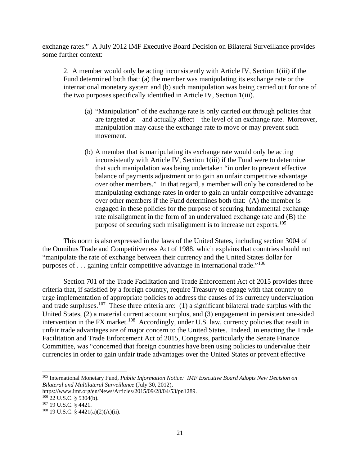exchange rates." A July 2012 IMF Executive Board Decision on Bilateral Surveillance provides some further context:

2. A member would only be acting inconsistently with Article IV, Section 1(iii) if the Fund determined both that: (a) the member was manipulating its exchange rate or the international monetary system and (b) such manipulation was being carried out for one of the two purposes specifically identified in Article IV, Section 1(iii).

- (a) "Manipulation" of the exchange rate is only carried out through policies that are targeted at—and actually affect—the level of an exchange rate. Moreover, manipulation may cause the exchange rate to move or may prevent such movement.
- (b) A member that is manipulating its exchange rate would only be acting inconsistently with Article IV, Section 1(iii) if the Fund were to determine that such manipulation was being undertaken "in order to prevent effective balance of payments adjustment or to gain an unfair competitive advantage over other members." In that regard, a member will only be considered to be manipulating exchange rates in order to gain an unfair competitive advantage over other members if the Fund determines both that: (A) the member is engaged in these policies for the purpose of securing fundamental exchange rate misalignment in the form of an undervalued exchange rate and (B) the purpose of securing such misalignment is to increase net exports.<sup>[105](#page-22-0)</sup>

This norm is also expressed in the laws of the United States, including section 3004 of the Omnibus Trade and Competitiveness Act of 1988, which explains that countries should not "manipulate the rate of exchange between their currency and the United States dollar for purposes of . . . gaining unfair competitive advantage in international trade."[106](#page-22-1) 

Section 701 of the Trade Facilitation and Trade Enforcement Act of 2015 provides three criteria that, if satisfied by a foreign country, require Treasury to engage with that country to urge implementation of appropriate policies to address the causes of its currency undervaluation and trade surpluses.<sup>107</sup> These three criteria are: (1) a significant bilateral trade surplus with the United States, (2) a material current account surplus, and (3) engagement in persistent one-sided intervention in the FX market.<sup>[108](#page-22-3)</sup> Accordingly, under U.S. law, currency policies that result in unfair trade advantages are of major concern to the United States. Indeed, in enacting the Trade Facilitation and Trade Enforcement Act of 2015, Congress, particularly the Senate Finance Committee, was "concerned that foreign countries have been using policies to undervalue their currencies in order to gain unfair trade advantages over the United States or prevent effective

<span id="page-22-0"></span><sup>105</sup> International Monetary Fund, *Public Information Notice: IMF Executive Board Adopts New Decision on Bilateral and Multilateral Surveillance* (July 30, 2012),

https://www.imf.org/en/News/Articles/2015/09/28/04/53/pn1289.

<span id="page-22-1"></span> $106$  22 U.S.C. § 5304(b).

<span id="page-22-2"></span><sup>107</sup> 19 U.S.C. § 4421.

<span id="page-22-3"></span><sup>108</sup> 19 U.S.C. § 4421(a)(2)(A)(ii).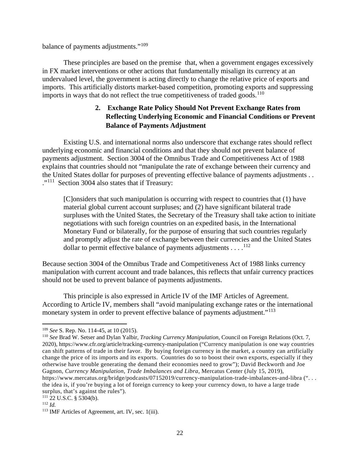balance of payments adjustments."[109](#page-23-1)

These principles are based on the premise that, when a government engages excessively in FX market interventions or other actions that fundamentally misalign its currency at an undervalued level, the government is acting directly to change the relative price of exports and imports. This artificially distorts market-based competition, promoting exports and suppressing imports in ways that do not reflect the true competitiveness of traded goods.<sup>110</sup>

## <span id="page-23-0"></span>**2. Exchange Rate Policy Should Not Prevent Exchange Rates from Reflecting Underlying Economic and Financial Conditions or Prevent Balance of Payments Adjustment**

Existing U.S. and international norms also underscore that exchange rates should reflect underlying economic and financial conditions and that they should not prevent balance of payments adjustment. Section 3004 of the Omnibus Trade and Competitiveness Act of 1988 explains that countries should not "manipulate the rate of exchange between their currency and the United States dollar for purposes of preventing effective balance of payments adjustments . . ."[111](#page-23-3) Section 3004 also states that if Treasury:

[C]onsiders that such manipulation is occurring with respect to countries that (1) have material global current account surpluses; and (2) have significant bilateral trade surpluses with the United States, the Secretary of the Treasury shall take action to initiate negotiations with such foreign countries on an expedited basis, in the International Monetary Fund or bilaterally, for the purpose of ensuring that such countries regularly and promptly adjust the rate of exchange between their currencies and the United States dollar to permit effective balance of payments adjustments  $\dots$ <sup>[112](#page-23-4)</sup>

Because section 3004 of the Omnibus Trade and Competitiveness Act of 1988 links currency manipulation with current account and trade balances, this reflects that unfair currency practices should not be used to prevent balance of payments adjustments.

This principle is also expressed in Article IV of the IMF Articles of Agreement. According to Article IV, members shall "avoid manipulating exchange rates or the international monetary system in order to prevent effective balance of payments adjustment."<sup>113</sup>

<span id="page-23-1"></span><sup>109</sup> *See* S. Rep. No. 114-45, at 10 (2015).

<span id="page-23-2"></span><sup>110</sup> *See* Brad W. Setser and Dylan Yalbir, *Tracking Currency Manipulation*, Council on Foreign Relations (Oct. 7, 2020), https://www.cfr.org/article/tracking-currency-manipulation ("Currency manipulation is one way countries can shift patterns of trade in their favor. By buying foreign currency in the market, a country can artificially change the price of its imports and its exports. Countries do so to boost their own exports, especially if they otherwise have trouble generating the demand their economies need to grow"); David Beckworth and Joe Gagnon, *Currency Manipulation, Trade Imbalances and Libra*, Mercatus Center (July 15, 2019),

https://www.mercatus.org/bridge/podcasts/07152019/currency-manipulation-trade-imbalances-and-libra (". . . the idea is, if you're buying a lot of foreign currency to keep your currency down, to have a large trade surplus, that's against the rules").

<span id="page-23-3"></span> $111\overline{2}$ 2 U.S.C. § 5304(b).

<span id="page-23-4"></span><sup>112</sup> *Id.*

<span id="page-23-5"></span><sup>113</sup> IMF Articles of Agreement, art. IV, sec. 1(iii).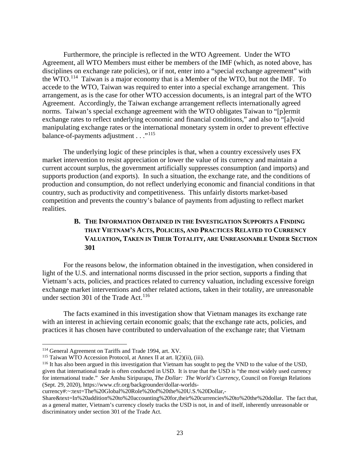Furthermore, the principle is reflected in the WTO Agreement. Under the WTO Agreement, all WTO Members must either be members of the IMF (which, as noted above, has disciplines on exchange rate policies), or if not, enter into a "special exchange agreement" with the WTO.[114](#page-24-1) Taiwan is a major economy that is a Member of the WTO, but not the IMF. To accede to the WTO, Taiwan was required to enter into a special exchange arrangement. This arrangement, as is the case for other WTO accession documents, is an integral part of the WTO Agreement. Accordingly, the Taiwan exchange arrangement reflects internationally agreed norms. Taiwan's special exchange agreement with the WTO obligates Taiwan to "[p]ermit exchange rates to reflect underlying economic and financial conditions," and also to "[a]void manipulating exchange rates or the international monetary system in order to prevent effective balance-of-payments adjustment . . ."<sup>[115](#page-24-2)</sup>

The underlying logic of these principles is that, when a country excessively uses FX market intervention to resist appreciation or lower the value of its currency and maintain a current account surplus, the government artificially suppresses consumption (and imports) and supports production (and exports). In such a situation, the exchange rate, and the conditions of production and consumption, do not reflect underlying economic and financial conditions in that country, such as productivity and competitiveness. This unfairly distorts market-based competition and prevents the country's balance of payments from adjusting to reflect market realities.

# <span id="page-24-0"></span>**B. THE INFORMATION OBTAINED IN THE INVESTIGATION SUPPORTS A FINDING THAT VIETNAM'S ACTS, POLICIES, AND PRACTICES RELATED TO CURRENCY VALUATION, TAKEN IN THEIR TOTALITY, ARE UNREASONABLE UNDER SECTION 301**

For the reasons below, the information obtained in the investigation, when considered in light of the U.S. and international norms discussed in the prior section, supports a finding that Vietnam's acts, policies, and practices related to currency valuation, including excessive foreign exchange market interventions and other related actions, taken in their totality, are unreasonable under section 301 of the Trade Act. [116](#page-24-3)

The facts examined in this investigation show that Vietnam manages its exchange rate with an interest in achieving certain economic goals; that the exchange rate acts, policies, and practices it has chosen have contributed to undervaluation of the exchange rate; that Vietnam

<span id="page-24-1"></span><sup>114</sup> General Agreement on Tariffs and Trade 1994, art. XV.

<span id="page-24-2"></span><sup>115</sup> Taiwan WTO Accession Protocol, at Annex II at art. I(2)(ii), (iii).

<span id="page-24-3"></span><sup>&</sup>lt;sup>116</sup> It has also been argued in this investigation that Vietnam has sought to peg the VND to the value of the USD, given that international trade is often conducted in USD. It is true that the USD is "the most widely used currency for international trade." *See* Anshu Siripurapu, *The Dollar: The World's Currency*, Council on Foreign Relations (Sept. 29, 2020), https://www.cfr.org/backgrounder/dollar-worlds-

currency#:~:text=The%20Global%20Role%20of%20the%20U.S.%20Dollar,-

Share&text=In%20addition%20to%20accounting%20for,their%20currencies%20to%20the%20dollar. The fact that, as a general matter, Vietnam's currency closely tracks the USD is not, in and of itself, inherently unreasonable or discriminatory under section 301 of the Trade Act.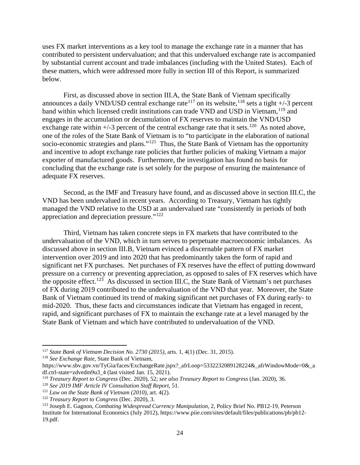uses FX market interventions as a key tool to manage the exchange rate in a manner that has contributed to persistent undervaluation; and that this undervalued exchange rate is accompanied by substantial current account and trade imbalances (including with the United States). Each of these matters, which were addressed more fully in section III of this Report, is summarized below.

First, as discussed above in section III.A, the State Bank of Vietnam specifically announces a daily VND/USD central exchange rate<sup>[117](#page-25-0)</sup> on its website,<sup>[118](#page-25-1)</sup> sets a tight  $+/-3$  percent band within which licensed credit institutions can trade VND and USD in Vietnam, <sup>[119](#page-25-2)</sup> and engages in the accumulation or decumulation of FX reserves to maintain the VND/USD exchange rate within  $\pm$ /-3 percent of the central exchange rate that it sets.<sup>[120](#page-25-3)</sup> As noted above, one of the roles of the State Bank of Vietnam is to "to participate in the elaboration of national socio-economic strategies and plans."<sup>121</sup> Thus, the State Bank of Vietnam has the opportunity and incentive to adopt exchange rate policies that further policies of making Vietnam a major exporter of manufactured goods. Furthermore, the investigation has found no basis for concluding that the exchange rate is set solely for the purpose of ensuring the maintenance of adequate FX reserves.

Second, as the IMF and Treasury have found, and as discussed above in section III.C, the VND has been undervalued in recent years. According to Treasury, Vietnam has tightly managed the VND relative to the USD at an undervalued rate "consistently in periods of both appreciation and depreciation pressure."[122](#page-25-5) 

Third, Vietnam has taken concrete steps in FX markets that have contributed to the undervaluation of the VND, which in turn serves to perpetuate macroeconomic imbalances. As discussed above in section III.B, Vietnam evinced a discernable pattern of FX market intervention over 2019 and into 2020 that has predominantly taken the form of rapid and significant net FX purchases. Net purchases of FX reserves have the effect of putting downward pressure on a currency or preventing appreciation, as opposed to sales of FX reserves which have the opposite effect.<sup>[123](#page-25-6)</sup> As discussed in section III.C, the State Bank of Vietnam's net purchases of FX during 2019 contributed to the undervaluation of the VND that year. Moreover, the State Bank of Vietnam continued its trend of making significant net purchases of FX during early- to mid-2020. Thus, these facts and circumstances indicate that Vietnam has engaged in recent, rapid, and significant purchases of FX to maintain the exchange rate at a level managed by the State Bank of Vietnam and which have contributed to undervaluation of the VND.

<span id="page-25-1"></span><sup>118</sup> *See Exchange Rate*, State Bank of Vietnam,

<span id="page-25-0"></span><sup>117</sup> *State Bank of Vietnam Decision No. 2730 (2015)*, arts. 1, 4(1) (Dec. 31, 2015).

https://www.sbv.gov.vn/TyGia/faces/ExchangeRate.jspx?\_afrLoop=5332232089128224&\_afrWindowMode=0&\_a df.ctrl-state=zdvedm9u3\_4 (last visited Jan. 15, 2021).

<span id="page-25-2"></span><sup>119</sup> *Treasury Report to Congress* (Dec. 2020), 52; *see also Treasury Report to Congress* (Jan. 2020), 36*.*

<span id="page-25-3"></span><sup>120</sup> *See 2019 IMF Article IV Consultation Staff Report*, 51.

<span id="page-25-4"></span><sup>&</sup>lt;sup>121</sup> *Law on the State Bank of Vietnam (2010)*, art. 4(2).<br><sup>122</sup> *Treasury Report to Congress (Dec. 2020)*, 3.

<span id="page-25-6"></span><span id="page-25-5"></span><sup>123</sup> Joseph E. Gagnon, *Combating Widespread Currency Manipulation*, 2, Policy Brief No. PB12-19, Peterson Institute for International Economics (July 2012), https://www.piie.com/sites/default/files/publications/pb/pb12- 19.pdf.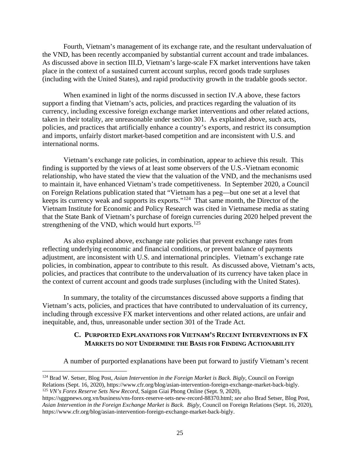Fourth, Vietnam's management of its exchange rate, and the resultant undervaluation of the VND, has been recently accompanied by substantial current account and trade imbalances. As discussed above in section III.D, Vietnam's large-scale FX market interventions have taken place in the context of a sustained current account surplus, record goods trade surpluses (including with the United States), and rapid productivity growth in the tradable goods sector.

When examined in light of the norms discussed in section IV.A above, these factors support a finding that Vietnam's acts, policies, and practices regarding the valuation of its currency, including excessive foreign exchange market interventions and other related actions, taken in their totality, are unreasonable under section 301. As explained above, such acts, policies, and practices that artificially enhance a country's exports, and restrict its consumption and imports, unfairly distort market-based competition and are inconsistent with U.S. and international norms.

Vietnam's exchange rate policies, in combination, appear to achieve this result. This finding is supported by the views of at least some observers of the U.S.-Vietnam economic relationship, who have stated the view that the valuation of the VND, and the mechanisms used to maintain it, have enhanced Vietnam's trade competitiveness. In September 2020, a Council on Foreign Relations publication stated that "Vietnam has a peg—but one set at a level that keeps its currency weak and supports its exports."[124](#page-26-1) That same month, the Director of the Vietnam Institute for Economic and Policy Research was cited in Vietnamese media as stating that the State Bank of Vietnam's purchase of foreign currencies during 2020 helped prevent the strengthening of the VND, which would hurt exports.<sup>[125](#page-26-2)</sup>

As also explained above, exchange rate policies that prevent exchange rates from reflecting underlying economic and financial conditions, or prevent balance of payments adjustment, are inconsistent with U.S. and international principles. Vietnam's exchange rate policies, in combination, appear to contribute to this result. As discussed above, Vietnam's acts, policies, and practices that contribute to the undervaluation of its currency have taken place in the context of current account and goods trade surpluses (including with the United States).

In summary, the totality of the circumstances discussed above supports a finding that Vietnam's acts, policies, and practices that have contributed to undervaluation of its currency, including through excessive FX market interventions and other related actions, are unfair and inequitable, and, thus, unreasonable under section 301 of the Trade Act.

#### <span id="page-26-0"></span>**C. PURPORTED EXPLANATIONS FOR VIETNAM'S RECENT INTERVENTIONS IN FX MARKETS DO NOT UNDERMINE THE BASIS FOR FINDING ACTIONABILITY**

A number of purported explanations have been put forward to justify Vietnam's recent

<span id="page-26-1"></span><sup>124</sup> Brad W. Setser, Blog Post, *Asian Intervention in the Foreign Market is Back. Bigly*, Council on Foreign Relations (Sept. 16, 2020), https://www.cfr.org/blog/asian-intervention-foreign-exchange-market-back-bigly. 125 *VN's Forex Reserve Sets New Record*, Saigon Giai Phong Online (Sept. 9, 2020),

<span id="page-26-2"></span>https://sggpnews.org.vn/business/vns-forex-reserve-sets-new-record-88370.html; *see also* Brad Setser, Blog Post, *Asian Intervention in the Foreign Exchange Market is Back. Bigly*, Council on Foreign Relations (Sept. 16, 2020), https://www.cfr.org/blog/asian-intervention-foreign-exchange-market-back-bigly.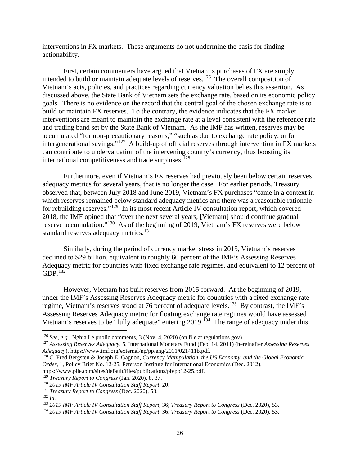interventions in FX markets. These arguments do not undermine the basis for finding actionability.

First, certain commenters have argued that Vietnam's purchases of FX are simply intended to build or maintain adequate levels of reserves.<sup>126</sup> The overall composition of Vietnam's acts, policies, and practices regarding currency valuation belies this assertion. As discussed above, the State Bank of Vietnam sets the exchange rate, based on its economic policy goals. There is no evidence on the record that the central goal of the chosen exchange rate is to build or maintain FX reserves. To the contrary, the evidence indicates that the FX market interventions are meant to maintain the exchange rate at a level consistent with the reference rate and trading band set by the State Bank of Vietnam. As the IMF has written, reserves may be accumulated "for non-precautionary reasons," "such as due to exchange rate policy, or for intergenerational savings."[127](#page-27-1) A build-up of official reserves through intervention in FX markets can contribute to undervaluation of the intervening country's currency, thus boosting its international competitiveness and trade surpluses.<sup>[128](#page-27-2)</sup>

Furthermore, even if Vietnam's FX reserves had previously been below certain reserves adequacy metrics for several years, that is no longer the case. For earlier periods, Treasury observed that, between July 2018 and June 2019, Vietnam's FX purchases "came in a context in which reserves remained below standard adequacy metrics and there was a reasonable rationale for rebuilding reserves."<sup>[129](#page-27-3)</sup> In its most recent Article IV consultation report, which covered 2018, the IMF opined that "over the next several years, [Vietnam] should continue gradual reserve accumulation."[130](#page-27-4) As of the beginning of 2019, Vietnam's FX reserves were below standard reserves adequacy metrics.<sup>[131](#page-27-5)</sup>

Similarly, during the period of currency market stress in 2015, Vietnam's reserves declined to \$29 billion, equivalent to roughly 60 percent of the IMF's Assessing Reserves Adequacy metric for countries with fixed exchange rate regimes, and equivalent to 12 percent of GDP.[132](#page-27-6) 

However, Vietnam has built reserves from 2015 forward. At the beginning of 2019, under the IMF's Assessing Reserves Adequacy metric for countries with a fixed exchange rate regime, Vietnam's reserves stood at 76 percent of adequate levels.[133](#page-27-7) By contrast, the IMF's Assessing Reserves Adequacy metric for floating exchange rate regimes would have assessed Vietnam's reserves to be "fully adequate" entering 2019.<sup>134</sup> The range of adequacy under this

<span id="page-27-0"></span><sup>126</sup> *See, e.g.,* Nghia Le public comments, 3 (Nov. 4, 2020) (on file at regulations.gov).

<span id="page-27-1"></span><sup>127</sup> *Assessing Reserves Adequacy*, 5, International Monetary Fund (Feb. 14, 2011) (hereinafter *Assessing Reserves* 

<span id="page-27-2"></span><sup>&</sup>lt;sup>128</sup> C. Fred Bergsten & Joseph E. Gagnon, *Currency Manipulation, the US Economy, and the Global Economic Order*, 1, Policy Brief No. 12-25, Peterson Institute for International Economics (Dec. 2012),

https://www.piie.com/sites/default/files/publications/pb/pb12-25.pdf.

<span id="page-27-3"></span><sup>129</sup> *Treasury Report to Congress* (Jan. 2020), 8, 37.

<span id="page-27-4"></span><sup>130</sup> *2019 IMF Article IV Consultation Staff Report*, 20. 131 *Treasury Report to Congress* (Dec. 2020), 53.

<span id="page-27-7"></span><span id="page-27-6"></span><span id="page-27-5"></span><sup>&</sup>lt;sup>132</sup> Id.<br><sup>133</sup> 2019 IMF Article IV Consultation Staff Report, 36; Treasury Report to Congress (Dec. 2020), 53.

<span id="page-27-8"></span><sup>&</sup>lt;sup>134</sup> 2019 IMF Article IV Consultation Staff Report, 36; Treasury Report to Congress (Dec. 2020), 53.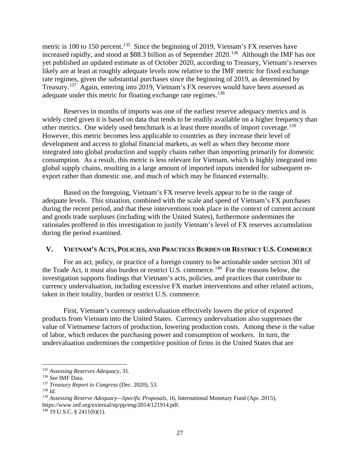metric is 100 to 150 percent.<sup>135</sup> Since the beginning of 2019, Vietnam's FX reserves have increased rapidly, and stood at \$88.3 billion as of September 2020.[136](#page-28-2) Although the IMF has not yet published an updated estimate as of October 2020, according to Treasury, Vietnam's reserves likely are at least at roughly adequate levels now relative to the IMF metric for fixed exchange rate regimes, given the substantial purchases since the beginning of 2019, as determined by Treasury.[137](#page-28-3) Again, entering into 2019, Vietnam's FX reserves would have been assessed as adequate under this metric for floating exchange rate regimes.<sup>[138](#page-28-4)</sup>

Reserves in months of imports was one of the earliest reserve adequacy metrics and is widely cited given it is based on data that tends to be readily available on a higher frequency than other metrics. One widely used benchmark is at least three months of import coverage.<sup>139</sup> However, this metric becomes less applicable to countries as they increase their level of development and access to global financial markets, as well as when they become more integrated into global production and supply chains rather than importing primarily for domestic consumption. As a result, this metric is less relevant for Vietnam, which is highly integrated into global supply chains, resulting in a large amount of imported inputs intended for subsequent reexport rather than domestic use, and much of which may be financed externally.

Based on the foregoing, Vietnam's FX reserve levels appear to be in the range of adequate levels. This situation, combined with the scale and speed of Vietnam's FX purchases during the recent period, and that these interventions took place in the context of current account and goods trade surpluses (including with the United States), furthermore undermines the rationales proffered in this investigation to justify Vietnam's level of FX reserves accumulation during the period examined.

#### <span id="page-28-0"></span>**V. VIETNAM'S ACTS, POLICIES, AND PRACTICES BURDEN OR RESTRICT U.S. COMMERCE**

For an act, policy, or practice of a foreign country to be actionable under section 301 of the Trade Act, it must also burden or restrict U.S. commerce.<sup>140</sup> For the reasons below, the investigation supports findings that Vietnam's acts, policies, and practices that contribute to currency undervaluation, including excessive FX market interventions and other related actions, taken in their totality, burden or restrict U.S. commerce.

First, Vietnam's currency undervaluation effectively lowers the price of exported products from Vietnam into the United States. Currency undervaluation also suppresses the value of Vietnamese factors of production, lowering production costs. Among these is the value of labor, which reduces the purchasing power and consumption of workers. In turn, the undervaluation undermines the competitive position of firms in the United States that are

<span id="page-28-6"></span> $140$  19 U.S.C. § 2411(b)(1).

<span id="page-28-1"></span> $\overline{\phantom{a}}$ <sup>135</sup> *Assessing Reserves Adequacy*, 31. 136 *See* IMF Data.

<span id="page-28-2"></span>

<span id="page-28-3"></span><sup>137</sup> *Treasury Report to Congress* (Dec. 2020), 53.

<span id="page-28-4"></span> $138$  *Id.* 

<span id="page-28-5"></span><sup>139</sup> *Assessing Reserve Adequacy—Specific Proposals*, 16, International Monetary Fund (Apr. 2015), https://www.imf.org/external/np/pp/eng/2014/121914.pdf.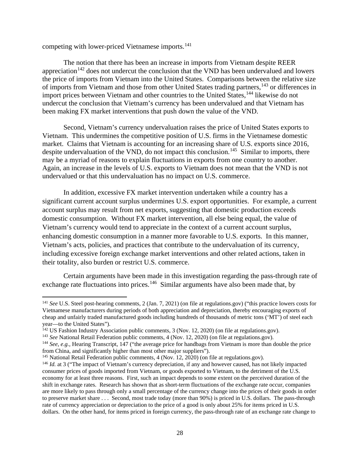competing with lower-priced Vietnamese imports.<sup>[141](#page-29-0)</sup>

The notion that there has been an increase in imports from Vietnam despite REER appreciation<sup> $142$ </sup> does not undercut the conclusion that the VND has been undervalued and lowers the price of imports from Vietnam into the United States. Comparisons between the relative size of imports from Vietnam and those from other United States trading partners,<sup>[143](#page-29-2)</sup> or differences in import prices between Vietnam and other countries to the United States,<sup>[144](#page-29-3)</sup> likewise do not undercut the conclusion that Vietnam's currency has been undervalued and that Vietnam has been making FX market interventions that push down the value of the VND.

Second, Vietnam's currency undervaluation raises the price of United States exports to Vietnam. This undermines the competitive position of U.S. firms in the Vietnamese domestic market. Claims that Vietnam is accounting for an increasing share of U.S. exports since 2016, despite undervaluation of the VND, do not impact this conclusion.<sup>[145](#page-29-4)</sup> Similar to imports, there may be a myriad of reasons to explain fluctuations in exports from one country to another. Again, an increase in the levels of U.S. exports to Vietnam does not mean that the VND is not undervalued or that this undervaluation has no impact on U.S. commerce.

In addition, excessive FX market intervention undertaken while a country has a significant current account surplus undermines U.S. export opportunities. For example, a current account surplus may result from net exports, suggesting that domestic production exceeds domestic consumption. Without FX market intervention, all else being equal, the value of Vietnam's currency would tend to appreciate in the context of a current account surplus, enhancing domestic consumption in a manner more favorable to U.S. exports. In this manner, Vietnam's acts, policies, and practices that contribute to the undervaluation of its currency, including excessive foreign exchange market interventions and other related actions, taken in their totality, also burden or restrict U.S. commerce.

Certain arguments have been made in this investigation regarding the pass-through rate of exchange rate fluctuations into prices.<sup>146</sup> Similar arguments have also been made that, by

 $\overline{a}$ 

<span id="page-29-0"></span><sup>141</sup> *See* U.S. Steel post-hearing comments, 2 (Jan. 7, 2021) (on file at regulations.gov) ("this practice lowers costs for Vietnamese manufacturers during periods of both appreciation and depreciation, thereby encouraging exports of cheap and unfairly traded manufactured goods including hundreds of thousands of metric tons ('MT') of steel each year—to the United States").

<span id="page-29-2"></span><span id="page-29-1"></span><sup>&</sup>lt;sup>142</sup> US Fashion Industry Association public comments, 3 (Nov. 12, 2020) (on file at regulations.gov).<br><sup>143</sup> *See* National Retail Federation public comments, 4 (Nov. 12, 2020) (on file at regulations.gov).

<span id="page-29-3"></span><sup>144</sup> *See, e.g.,* Hearing Transcript, 147 ("the average price for handbags from Vietnam is more than double the price from China, and significantly higher than most other major suppliers").

<span id="page-29-4"></span><sup>&</sup>lt;sup>145</sup> National Retail Federation public comments, 4 (Nov. 12, 2020) (on file at regulations.gov).

<span id="page-29-5"></span><sup>&</sup>lt;sup>146</sup> *Id.* at 3 ("The impact of Vietnam's currency depreciation, if any and however caused, has not likely impacted consumer prices of goods imported from Vietnam, or goods exported to Vietnam, to the detriment of the U.S. economy for at least three reasons. First, such an impact depends to some extent on the perceived duration of the shift in exchange rates. Research has shown that as short-term fluctuations of the exchange rate occur, companies are more likely to pass through only a small percentage of the currency change into the prices of their goods in order to preserve market share . . . Second, most trade today (more than 90%) is priced in U.S. dollars. The pass-through rate of currency appreciation or depreciation to the price of a good is only about 25% for items priced in U.S. dollars. On the other hand, for items priced in foreign currency, the pass-through rate of an exchange rate change to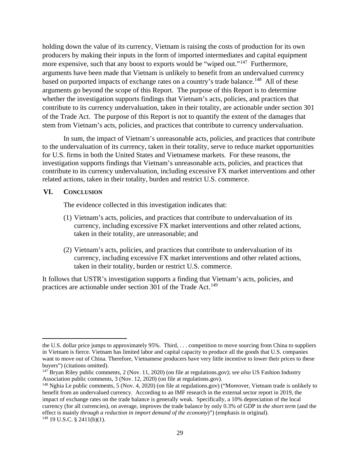holding down the value of its currency, Vietnam is raising the costs of production for its own producers by making their inputs in the form of imported intermediates and capital equipment more expensive, such that any boost to exports would be "wiped out."<sup>147</sup> Furthermore, arguments have been made that Vietnam is unlikely to benefit from an undervalued currency based on purported impacts of exchange rates on a country's trade balance.<sup>[148](#page-30-2)</sup> All of these arguments go beyond the scope of this Report. The purpose of this Report is to determine whether the investigation supports findings that Vietnam's acts, policies, and practices that contribute to its currency undervaluation, taken in their totality, are actionable under section 301 of the Trade Act. The purpose of this Report is not to quantify the extent of the damages that stem from Vietnam's acts, policies, and practices that contribute to currency undervaluation.

In sum, the impact of Vietnam's unreasonable acts, policies, and practices that contribute to the undervaluation of its currency, taken in their totality, serve to reduce market opportunities for U.S. firms in both the United States and Vietnamese markets. For these reasons, the investigation supports findings that Vietnam's unreasonable acts, policies, and practices that contribute to its currency undervaluation, including excessive FX market interventions and other related actions, taken in their totality, burden and restrict U.S. commerce.

#### <span id="page-30-0"></span>**VI. CONCLUSION**

 $\overline{a}$ 

The evidence collected in this investigation indicates that:

- (1) Vietnam's acts, policies, and practices that contribute to undervaluation of its currency, including excessive FX market interventions and other related actions, taken in their totality, are unreasonable; and
- (2) Vietnam's acts, policies, and practices that contribute to undervaluation of its currency, including excessive FX market interventions and other related actions, taken in their totality, burden or restrict U.S. commerce.

It follows that USTR's investigation supports a finding that Vietnam's acts, policies, and practices are actionable under section 301 of the Trade Act.<sup>[149](#page-30-3)</sup>

the U.S. dollar price jumps to approximately 95%. Third, . . . competition to move sourcing from China to suppliers in Vietnam is fierce. Vietnam has limited labor and capital capacity to produce all the goods that U.S. companies want to move out of China. Therefore, Vietnamese producers have very little incentive to lower their prices to these buyers") (citations omitted).

<span id="page-30-1"></span><sup>147</sup> Bryan Riley public comments, 2 (Nov. 11, 2020) (on file at regulations.gov); *see also* US Fashion Industry Association public comments, 3 (Nov. 12, 2020) (on file at regulations.gov).

<span id="page-30-3"></span><span id="page-30-2"></span><sup>148</sup> Nghia Le public comments, 5 (Nov. 4, 2020) (on file at regulations.gov) ("Moreover, Vietnam trade is unlikely to benefit from an undervalued currency. According to an IMF research in the external sector report in 2019, the impact of exchange rates on the trade balance is generally weak. Specifically, a 10% depreciation of the local currency (for all currencies), on average, improves the trade balance by only 0.3% of GDP in *the short term* (and the effect is mainly *through a reduction in import demand of the economy*)") (emphasis in original).  $149$  19 U.S.C. § 2411(b)(1).